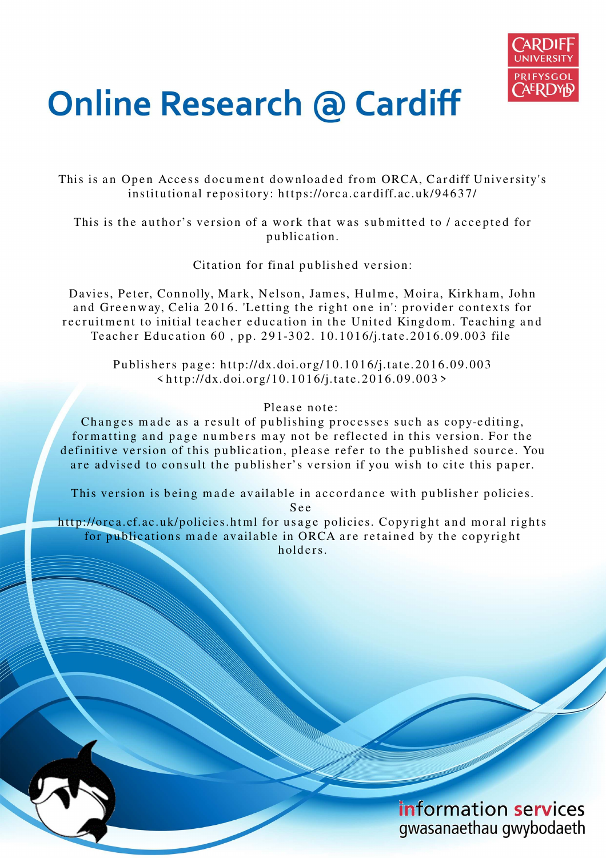

# **Online Research @ Cardiff**

This is an Open Access document downloaded from ORCA, Cardiff University's institutional repository: https://orca.cardiff.ac.uk/94637/

This is the author's version of a work that was submitted to / accepted for p u blication.

Citation for final published version:

Davies, Peter, Connolly, Mark, Nelson, James, Hulme, Moira, Kirkham, John and Greenway, Celia 2016. 'Letting the right one in': provider contexts for recruitment to initial teacher education in the United Kingdom. Teaching and Teacher Education 60, pp. 291-302. 10.1016/j.tate.2016.09.003 file

Publishers page: http://dx.doi.org/10.1016/j.tate.2016.09.003  $\frac{\text{th}}{\text{ttp}}$ ://dx.doi.org/10.1016/j.tate.2016.09.003>

Please note:

Changes made as a result of publishing processes such as copy-editing, formatting and page numbers may not be reflected in this version. For the definitive version of this publication, please refer to the published source. You are advised to consult the publisher's version if you wish to cite this paper.

This version is being made available in accordance with publisher policies.

S e e

http://orca.cf.ac.uk/policies.html for usage policies. Copyright and moral rights for publications made available in ORCA are retained by the copyright holders



information services gwasanaethau gwybodaeth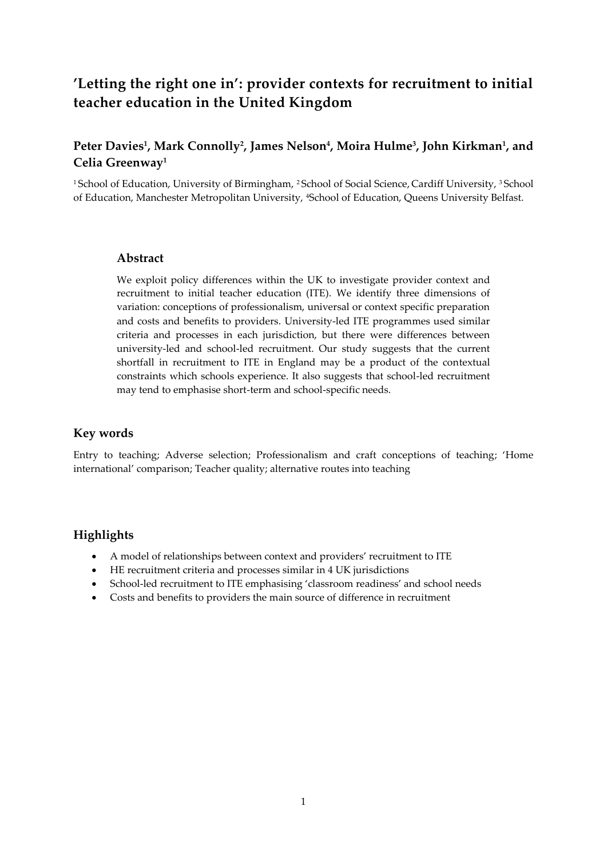# **'Letting the right one in': provider contexts for recruitment to initial teacher education in the United Kingdom**

## **Peter Davies<sup>1</sup> , Mark Connolly<sup>2</sup> , James Nelson<sup>4</sup> , Moira Hulme<sup>3</sup> , John Kirkman<sup>1</sup> , and Celia Greenway<sup>1</sup>**

<sup>1</sup>School of Education, University of Birmingham, 2 School of Social Science, Cardiff University, 3 School of Education, Manchester Metropolitan University, 4School of Education, Queens University Belfast.

#### **Abstract**

We exploit policy differences within the UK to investigate provider context and recruitment to initial teacher education (ITE). We identify three dimensions of variation: conceptions of professionalism, universal or context specific preparation and costs and benefits to providers. University-led ITE programmes used similar criteria and processes in each jurisdiction, but there were differences between university-led and school-led recruitment. Our study suggests that the current shortfall in recruitment to ITE in England may be a product of the contextual constraints which schools experience. It also suggests that school-led recruitment may tend to emphasise short-term and school-specific needs.

## **Key words**

Entry to teaching; Adverse selection; Professionalism and craft conceptions of teaching; 'Home international' comparison; Teacher quality; alternative routes into teaching

## **Highlights**

- A model of relationships between context and providers' recruitment to ITE
- HE recruitment criteria and processes similar in 4 UK jurisdictions
- School-led recruitment to ITE emphasising 'classroom readiness' and school needs
- Costs and benefits to providers the main source of difference in recruitment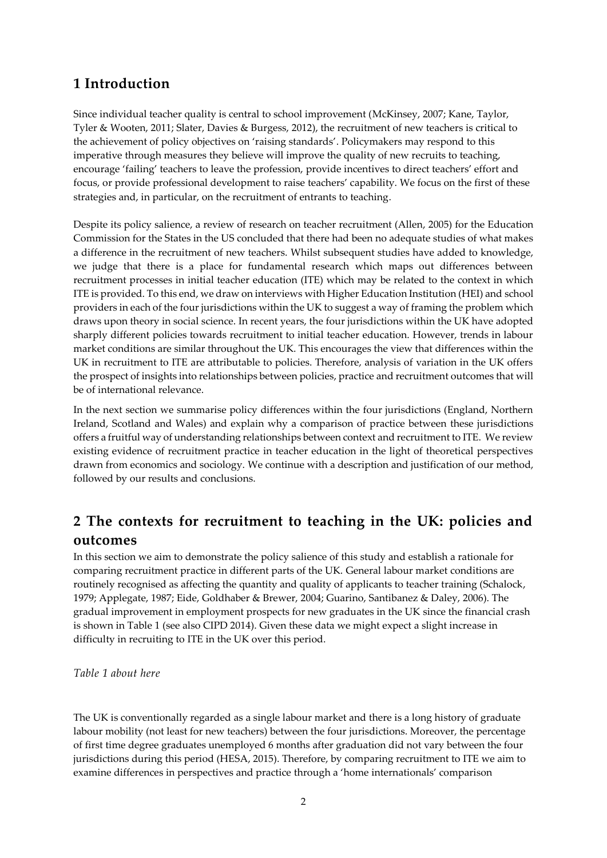## **1 Introduction**

Since individual teacher quality is central to school improvement (McKinsey, 2007; Kane, Taylor, Tyler & Wooten, 2011; Slater, Davies & Burgess, 2012), the recruitment of new teachers is critical to the achievement of policy objectives on 'raising standards'. Policymakers may respond to this imperative through measures they believe will improve the quality of new recruits to teaching, encourage 'failing' teachers to leave the profession, provide incentives to direct teachers' effort and focus, or provide professional development to raise teachers' capability. We focus on the first of these strategies and, in particular, on the recruitment of entrants to teaching.

Despite its policy salience, a review of research on teacher recruitment (Allen, 2005) for the Education Commission for the States in the US concluded that there had been no adequate studies of what makes a difference in the recruitment of new teachers. Whilst subsequent studies have added to knowledge, we judge that there is a place for fundamental research which maps out differences between recruitment processes in initial teacher education (ITE) which may be related to the context in which ITE is provided. To this end, we draw on interviews with Higher Education Institution (HEI) and school providers in each of the four jurisdictions within the UK to suggest a way of framing the problem which draws upon theory in social science. In recent years, the four jurisdictions within the UK have adopted sharply different policies towards recruitment to initial teacher education. However, trends in labour market conditions are similar throughout the UK. This encourages the view that differences within the UK in recruitment to ITE are attributable to policies. Therefore, analysis of variation in the UK offers the prospect of insights into relationships between policies, practice and recruitment outcomes that will be of international relevance.

In the next section we summarise policy differences within the four jurisdictions (England, Northern Ireland, Scotland and Wales) and explain why a comparison of practice between these jurisdictions offers a fruitful way of understanding relationships between context and recruitment to ITE. We review existing evidence of recruitment practice in teacher education in the light of theoretical perspectives drawn from economics and sociology. We continue with a description and justification of our method, followed by our results and conclusions.

# **2 The contexts for recruitment to teaching in the UK: policies and outcomes**

In this section we aim to demonstrate the policy salience of this study and establish a rationale for comparing recruitment practice in different parts of the UK. General labour market conditions are routinely recognised as affecting the quantity and quality of applicants to teacher training (Schalock, 1979; Applegate, 1987; Eide, Goldhaber & Brewer, 2004; Guarino, Santibanez & Daley, 2006). The gradual improvement in employment prospects for new graduates in the UK since the financial crash is shown in Table 1 (see also CIPD 2014). Given these data we might expect a slight increase in difficulty in recruiting to ITE in the UK over this period.

*Table 1 about here* 

The UK is conventionally regarded as a single labour market and there is a long history of graduate labour mobility (not least for new teachers) between the four jurisdictions. Moreover, the percentage of first time degree graduates unemployed 6 months after graduation did not vary between the four jurisdictions during this period (HESA, 2015). Therefore, by comparing recruitment to ITE we aim to examine differences in perspectives and practice through a 'home internationals' comparison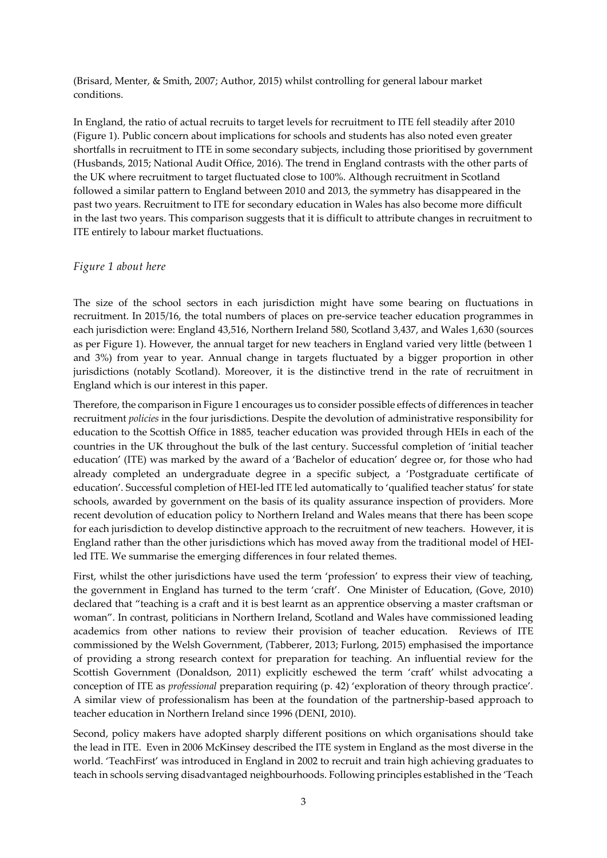(Brisard, Menter, & Smith, 2007; Author, 2015) whilst controlling for general labour market conditions.

In England, the ratio of actual recruits to target levels for recruitment to ITE fell steadily after 2010 (Figure 1). Public concern about implications for schools and students has also noted even greater shortfalls in recruitment to ITE in some secondary subjects, including those prioritised by government (Husbands, 2015; National Audit Office, 2016). The trend in England contrasts with the other parts of the UK where recruitment to target fluctuated close to 100%. Although recruitment in Scotland followed a similar pattern to England between 2010 and 2013, the symmetry has disappeared in the past two years. Recruitment to ITE for secondary education in Wales has also become more difficult in the last two years. This comparison suggests that it is difficult to attribute changes in recruitment to ITE entirely to labour market fluctuations.

#### *Figure 1 about here*

The size of the school sectors in each jurisdiction might have some bearing on fluctuations in recruitment. In 2015/16, the total numbers of places on pre-service teacher education programmes in each jurisdiction were: England 43,516, Northern Ireland 580, Scotland 3,437, and Wales 1,630 (sources as per Figure 1). However, the annual target for new teachers in England varied very little (between 1 and 3%) from year to year. Annual change in targets fluctuated by a bigger proportion in other jurisdictions (notably Scotland). Moreover, it is the distinctive trend in the rate of recruitment in England which is our interest in this paper.

Therefore, the comparison in Figure 1 encourages us to consider possible effects of differences in teacher recruitment *policies* in the four jurisdictions. Despite the devolution of administrative responsibility for education to the Scottish Office in 1885, teacher education was provided through HEIs in each of the countries in the UK throughout the bulk of the last century. Successful completion of 'initial teacher education' (ITE) was marked by the award of a 'Bachelor of education' degree or, for those who had already completed an undergraduate degree in a specific subject, a 'Postgraduate certificate of education'. Successful completion of HEI-led ITE led automatically to 'qualified teacher status' for state schools, awarded by government on the basis of its quality assurance inspection of providers. More recent devolution of education policy to Northern Ireland and Wales means that there has been scope for each jurisdiction to develop distinctive approach to the recruitment of new teachers. However, it is England rather than the other jurisdictions which has moved away from the traditional model of HEIled ITE. We summarise the emerging differences in four related themes.

First, whilst the other jurisdictions have used the term 'profession' to express their view of teaching, the government in England has turned to the term 'craft'. One Minister of Education, (Gove, 2010) declared that "teaching is a craft and it is best learnt as an apprentice observing a master craftsman or woman". In contrast, politicians in Northern Ireland, Scotland and Wales have commissioned leading academics from other nations to review their provision of teacher education. Reviews of ITE commissioned by the Welsh Government, (Tabberer, 2013; Furlong, 2015) emphasised the importance of providing a strong research context for preparation for teaching. An influential review for the Scottish Government (Donaldson, 2011) explicitly eschewed the term 'craft' whilst advocating a conception of ITE as *professional* preparation requiring (p. 42) 'exploration of theory through practice'. A similar view of professionalism has been at the foundation of the partnership-based approach to teacher education in Northern Ireland since 1996 (DENI, 2010).

Second, policy makers have adopted sharply different positions on which organisations should take the lead in ITE. Even in 2006 McKinsey described the ITE system in England as the most diverse in the world. 'TeachFirst' was introduced in England in 2002 to recruit and train high achieving graduates to teach in schools serving disadvantaged neighbourhoods. Following principles established in the 'Teach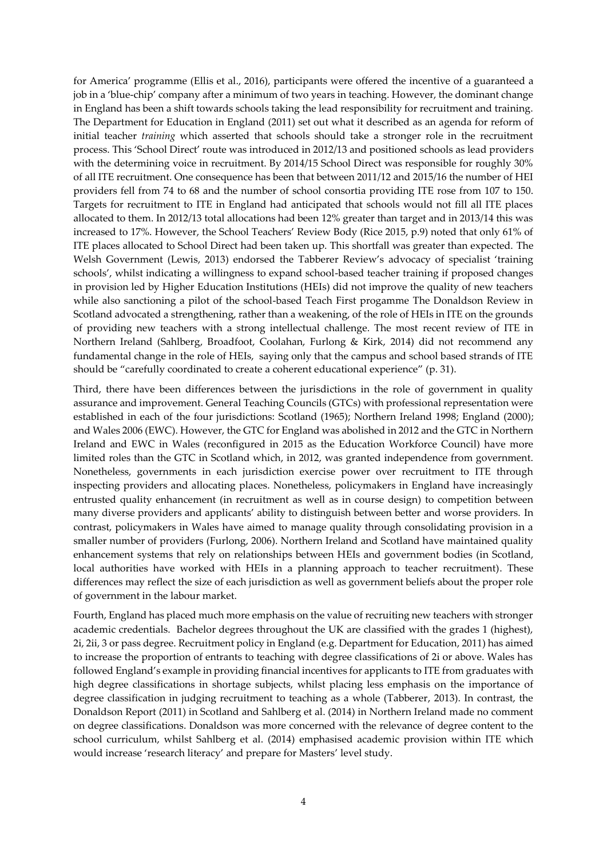for America' programme (Ellis et al., 2016), participants were offered the incentive of a guaranteed a job in a 'blue-chip' company after a minimum of two years in teaching. However, the dominant change in England has been a shift towards schools taking the lead responsibility for recruitment and training. The Department for Education in England (2011) set out what it described as an agenda for reform of initial teacher *training* which asserted that schools should take a stronger role in the recruitment process. This 'School Direct' route was introduced in 2012/13 and positioned schools as lead providers with the determining voice in recruitment. By 2014/15 School Direct was responsible for roughly 30% of all ITE recruitment. One consequence has been that between 2011/12 and 2015/16 the number of HEI providers fell from 74 to 68 and the number of school consortia providing ITE rose from 107 to 150. Targets for recruitment to ITE in England had anticipated that schools would not fill all ITE places allocated to them. In 2012/13 total allocations had been 12% greater than target and in 2013/14 this was increased to 17%. However, the School Teachers' Review Body (Rice 2015, p.9) noted that only 61% of ITE places allocated to School Direct had been taken up. This shortfall was greater than expected. The Welsh Government (Lewis, 2013) endorsed the Tabberer Review's advocacy of specialist 'training schools', whilst indicating a willingness to expand school-based teacher training if proposed changes in provision led by Higher Education Institutions (HEIs) did not improve the quality of new teachers while also sanctioning a pilot of the school-based Teach First progamme The Donaldson Review in Scotland advocated a strengthening, rather than a weakening, of the role of HEIs in ITE on the grounds of providing new teachers with a strong intellectual challenge. The most recent review of ITE in Northern Ireland (Sahlberg, Broadfoot, Coolahan, Furlong & Kirk, 2014) did not recommend any fundamental change in the role of HEIs, saying only that the campus and school based strands of ITE should be "carefully coordinated to create a coherent educational experience" (p. 31).

Third, there have been differences between the jurisdictions in the role of government in quality assurance and improvement. General Teaching Councils (GTCs) with professional representation were established in each of the four jurisdictions: Scotland (1965); Northern Ireland 1998; England (2000); and Wales 2006 (EWC). However, the GTC for England was abolished in 2012 and the GTC in Northern Ireland and EWC in Wales (reconfigured in 2015 as the Education Workforce Council) have more limited roles than the GTC in Scotland which, in 2012, was granted independence from government. Nonetheless, governments in each jurisdiction exercise power over recruitment to ITE through inspecting providers and allocating places. Nonetheless, policymakers in England have increasingly entrusted quality enhancement (in recruitment as well as in course design) to competition between many diverse providers and applicants' ability to distinguish between better and worse providers. In contrast, policymakers in Wales have aimed to manage quality through consolidating provision in a smaller number of providers (Furlong, 2006). Northern Ireland and Scotland have maintained quality enhancement systems that rely on relationships between HEIs and government bodies (in Scotland, local authorities have worked with HEIs in a planning approach to teacher recruitment). These differences may reflect the size of each jurisdiction as well as government beliefs about the proper role of government in the labour market.

Fourth, England has placed much more emphasis on the value of recruiting new teachers with stronger academic credentials. Bachelor degrees throughout the UK are classified with the grades 1 (highest), 2i, 2ii, 3 or pass degree. Recruitment policy in England (e.g. Department for Education, 2011) has aimed to increase the proportion of entrants to teaching with degree classifications of 2i or above. Wales has followed England's example in providing financial incentives for applicants to ITE from graduates with high degree classifications in shortage subjects, whilst placing less emphasis on the importance of degree classification in judging recruitment to teaching as a whole (Tabberer, 2013). In contrast, the Donaldson Report (2011) in Scotland and Sahlberg et al. (2014) in Northern Ireland made no comment on degree classifications. Donaldson was more concerned with the relevance of degree content to the school curriculum, whilst Sahlberg et al. (2014) emphasised academic provision within ITE which would increase 'research literacy' and prepare for Masters' level study.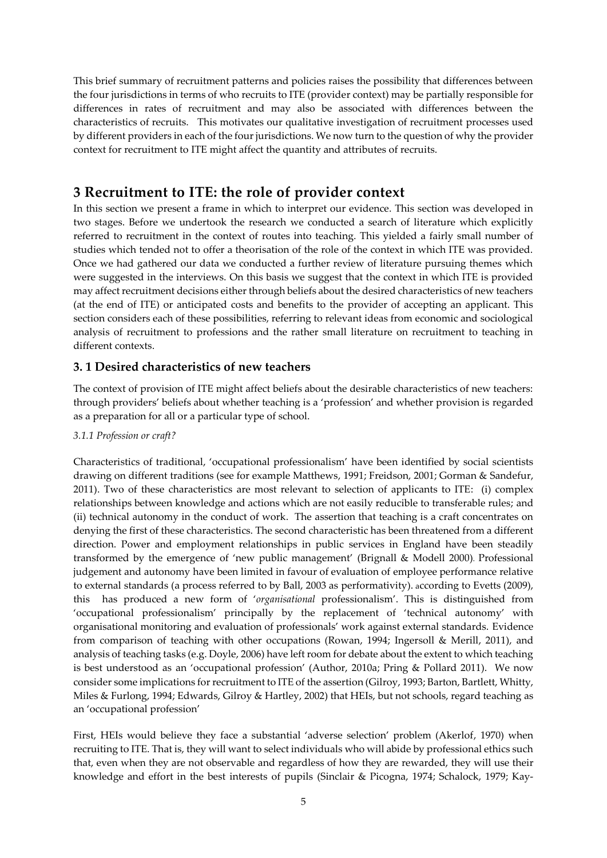This brief summary of recruitment patterns and policies raises the possibility that differences between the four jurisdictions in terms of who recruits to ITE (provider context) may be partially responsible for differences in rates of recruitment and may also be associated with differences between the characteristics of recruits. This motivates our qualitative investigation of recruitment processes used by different providers in each of the four jurisdictions. We now turn to the question of why the provider context for recruitment to ITE might affect the quantity and attributes of recruits.

## **3 Recruitment to ITE: the role of provider context**

In this section we present a frame in which to interpret our evidence. This section was developed in two stages. Before we undertook the research we conducted a search of literature which explicitly referred to recruitment in the context of routes into teaching. This yielded a fairly small number of studies which tended not to offer a theorisation of the role of the context in which ITE was provided. Once we had gathered our data we conducted a further review of literature pursuing themes which were suggested in the interviews. On this basis we suggest that the context in which ITE is provided may affect recruitment decisions either through beliefs about the desired characteristics of new teachers (at the end of ITE) or anticipated costs and benefits to the provider of accepting an applicant. This section considers each of these possibilities, referring to relevant ideas from economic and sociological analysis of recruitment to professions and the rather small literature on recruitment to teaching in different contexts.

## **3. 1 Desired characteristics of new teachers**

The context of provision of ITE might affect beliefs about the desirable characteristics of new teachers: through providers' beliefs about whether teaching is a 'profession' and whether provision is regarded as a preparation for all or a particular type of school.

#### *3.1.1 Profession or craft?*

Characteristics of traditional, 'occupational professionalism' have been identified by social scientists drawing on different traditions (see for example Matthews, 1991; Freidson, 2001; Gorman & Sandefur, 2011). Two of these characteristics are most relevant to selection of applicants to ITE: (i) complex relationships between knowledge and actions which are not easily reducible to transferable rules; and (ii) technical autonomy in the conduct of work. The assertion that teaching is a craft concentrates on denying the first of these characteristics. The second characteristic has been threatened from a different direction. Power and employment relationships in public services in England have been steadily transformed by the emergence of 'new public management' (Brignall & Modell 2000). Professional judgement and autonomy have been limited in favour of evaluation of employee performance relative to external standards (a process referred to by Ball, 2003 as performativity). according to Evetts (2009), this has produced a new form of '*organisational* professionalism'. This is distinguished from 'occupational professionalism' principally by the replacement of 'technical autonomy' with organisational monitoring and evaluation of professionals' work against external standards. Evidence from comparison of teaching with other occupations (Rowan, 1994; Ingersoll & Merill, 2011), and analysis of teaching tasks (e.g. Doyle, 2006) have left room for debate about the extent to which teaching is best understood as an 'occupational profession' (Author, 2010a; Pring & Pollard 2011). We now consider some implications for recruitment to ITE of the assertion (Gilroy, 1993; Barton, Bartlett, Whitty, Miles & Furlong, 1994; Edwards, Gilroy & Hartley, 2002) that HEIs, but not schools, regard teaching as an 'occupational profession'

First, HEIs would believe they face a substantial 'adverse selection' problem (Akerlof, 1970) when recruiting to ITE. That is, they will want to select individuals who will abide by professional ethics such that, even when they are not observable and regardless of how they are rewarded, they will use their knowledge and effort in the best interests of pupils (Sinclair & Picogna, 1974; Schalock, 1979; Kay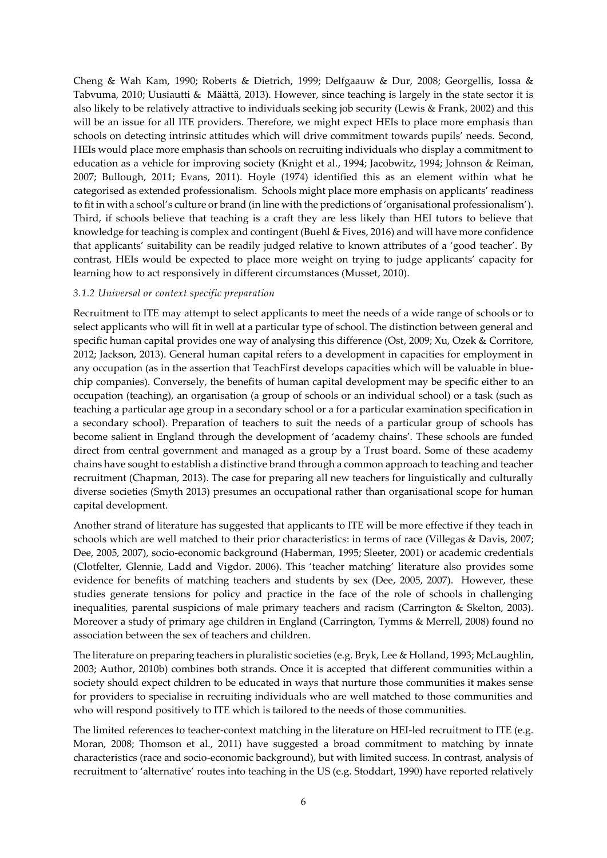Cheng & Wah Kam, 1990; Roberts & Dietrich, 1999; Delfgaauw & Dur, 2008; Georgellis, Iossa & Tabvuma, 2010; Uusiautti & Määttä, 2013). However, since teaching is largely in the state sector it is also likely to be relatively attractive to individuals seeking job security (Lewis & Frank, 2002) and this will be an issue for all ITE providers. Therefore, we might expect HEIs to place more emphasis than schools on detecting intrinsic attitudes which will drive commitment towards pupils' needs. Second, HEIs would place more emphasis than schools on recruiting individuals who display a commitment to education as a vehicle for improving society (Knight et al., 1994; Jacobwitz, 1994; Johnson & Reiman, 2007; Bullough, 2011; Evans, 2011). Hoyle (1974) identified this as an element within what he categorised as extended professionalism. Schools might place more emphasis on applicants' readiness to fit in with a school's culture or brand (in line with the predictions of 'organisational professionalism'). Third, if schools believe that teaching is a craft they are less likely than HEI tutors to believe that knowledge for teaching is complex and contingent (Buehl & Fives, 2016) and will have more confidence that applicants' suitability can be readily judged relative to known attributes of a 'good teacher'. By contrast, HEIs would be expected to place more weight on trying to judge applicants' capacity for learning how to act responsively in different circumstances (Musset, 2010).

#### *3.1.2 Universal or context specific preparation*

Recruitment to ITE may attempt to select applicants to meet the needs of a wide range of schools or to select applicants who will fit in well at a particular type of school. The distinction between general and specific human capital provides one way of analysing this difference (Ost, 2009; Xu, Ozek & Corritore, 2012; Jackson, 2013). General human capital refers to a development in capacities for employment in any occupation (as in the assertion that TeachFirst develops capacities which will be valuable in bluechip companies). Conversely, the benefits of human capital development may be specific either to an occupation (teaching), an organisation (a group of schools or an individual school) or a task (such as teaching a particular age group in a secondary school or a for a particular examination specification in a secondary school). Preparation of teachers to suit the needs of a particular group of schools has become salient in England through the development of 'academy chains'. These schools are funded direct from central government and managed as a group by a Trust board. Some of these academy chains have sought to establish a distinctive brand through a common approach to teaching and teacher recruitment (Chapman, 2013). The case for preparing all new teachers for linguistically and culturally diverse societies (Smyth 2013) presumes an occupational rather than organisational scope for human capital development.

Another strand of literature has suggested that applicants to ITE will be more effective if they teach in schools which are well matched to their prior characteristics: in terms of race (Villegas & Davis, 2007; Dee, 2005, 2007), socio-economic background (Haberman, 1995; Sleeter, 2001) or academic credentials (Clotfelter, Glennie, Ladd and Vigdor. 2006). This 'teacher matching' literature also provides some evidence for benefits of matching teachers and students by sex (Dee, 2005, 2007). However, these studies generate tensions for policy and practice in the face of the role of schools in challenging inequalities, parental suspicions of male primary teachers and racism (Carrington & Skelton, 2003). Moreover a study of primary age children in England (Carrington, Tymms & Merrell, 2008) found no association between the sex of teachers and children.

The literature on preparing teachers in pluralistic societies (e.g. Bryk, Lee & Holland, 1993; McLaughlin, 2003; Author, 2010b) combines both strands. Once it is accepted that different communities within a society should expect children to be educated in ways that nurture those communities it makes sense for providers to specialise in recruiting individuals who are well matched to those communities and who will respond positively to ITE which is tailored to the needs of those communities.

The limited references to teacher-context matching in the literature on HEI-led recruitment to ITE (e.g. Moran, 2008; Thomson et al., 2011) have suggested a broad commitment to matching by innate characteristics (race and socio-economic background), but with limited success. In contrast, analysis of recruitment to 'alternative' routes into teaching in the US (e.g. Stoddart, 1990) have reported relatively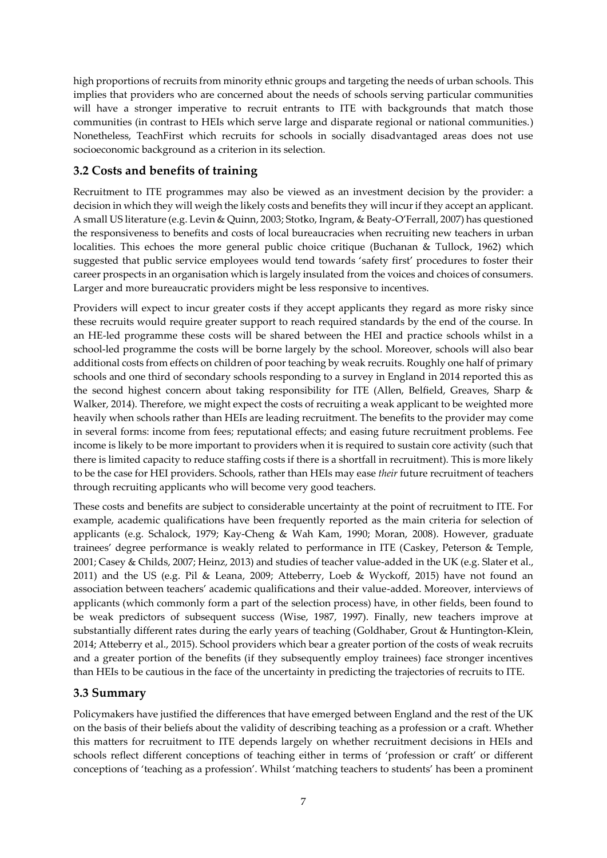high proportions of recruits from minority ethnic groups and targeting the needs of urban schools. This implies that providers who are concerned about the needs of schools serving particular communities will have a stronger imperative to recruit entrants to ITE with backgrounds that match those communities (in contrast to HEIs which serve large and disparate regional or national communities.) Nonetheless, TeachFirst which recruits for schools in socially disadvantaged areas does not use socioeconomic background as a criterion in its selection.

## **3.2 Costs and benefits of training**

Recruitment to ITE programmes may also be viewed as an investment decision by the provider: a decision in which they will weigh the likely costs and benefits they will incur if they accept an applicant. A small US literature (e.g. Levin & Quinn, 2003; Stotko, Ingram, & Beaty-O'Ferrall, 2007) has questioned the responsiveness to benefits and costs of local bureaucracies when recruiting new teachers in urban localities. This echoes the more general public choice critique (Buchanan & Tullock, 1962) which suggested that public service employees would tend towards 'safety first' procedures to foster their career prospects in an organisation which is largely insulated from the voices and choices of consumers. Larger and more bureaucratic providers might be less responsive to incentives.

Providers will expect to incur greater costs if they accept applicants they regard as more risky since these recruits would require greater support to reach required standards by the end of the course. In an HE-led programme these costs will be shared between the HEI and practice schools whilst in a school-led programme the costs will be borne largely by the school. Moreover, schools will also bear additional costs from effects on children of poor teaching by weak recruits. Roughly one half of primary schools and one third of secondary schools responding to a survey in England in 2014 reported this as the second highest concern about taking responsibility for ITE (Allen, Belfield, Greaves, Sharp & Walker, 2014). Therefore, we might expect the costs of recruiting a weak applicant to be weighted more heavily when schools rather than HEIs are leading recruitment. The benefits to the provider may come in several forms: income from fees; reputational effects; and easing future recruitment problems. Fee income is likely to be more important to providers when it is required to sustain core activity (such that there is limited capacity to reduce staffing costs if there is a shortfall in recruitment). This is more likely to be the case for HEI providers. Schools, rather than HEIs may ease *their* future recruitment of teachers through recruiting applicants who will become very good teachers.

These costs and benefits are subject to considerable uncertainty at the point of recruitment to ITE. For example, academic qualifications have been frequently reported as the main criteria for selection of applicants (e.g. Schalock, 1979; Kay-Cheng & Wah Kam, 1990; Moran, 2008). However, graduate trainees' degree performance is weakly related to performance in ITE (Caskey, Peterson & Temple, 2001; Casey & Childs, 2007; Heinz, 2013) and studies of teacher value-added in the UK (e.g. Slater et al., 2011) and the US (e.g. Pil & Leana, 2009; Atteberry, Loeb & Wyckoff, 2015) have not found an association between teachers' academic qualifications and their value-added. Moreover, interviews of applicants (which commonly form a part of the selection process) have, in other fields, been found to be weak predictors of subsequent success (Wise, 1987, 1997). Finally, new teachers improve at substantially different rates during the early years of teaching (Goldhaber, Grout & Huntington-Klein, 2014; Atteberry et al., 2015). School providers which bear a greater portion of the costs of weak recruits and a greater portion of the benefits (if they subsequently employ trainees) face stronger incentives than HEIs to be cautious in the face of the uncertainty in predicting the trajectories of recruits to ITE.

## **3.3 Summary**

Policymakers have justified the differences that have emerged between England and the rest of the UK on the basis of their beliefs about the validity of describing teaching as a profession or a craft. Whether this matters for recruitment to ITE depends largely on whether recruitment decisions in HEIs and schools reflect different conceptions of teaching either in terms of 'profession or craft' or different conceptions of 'teaching as a profession'. Whilst 'matching teachers to students' has been a prominent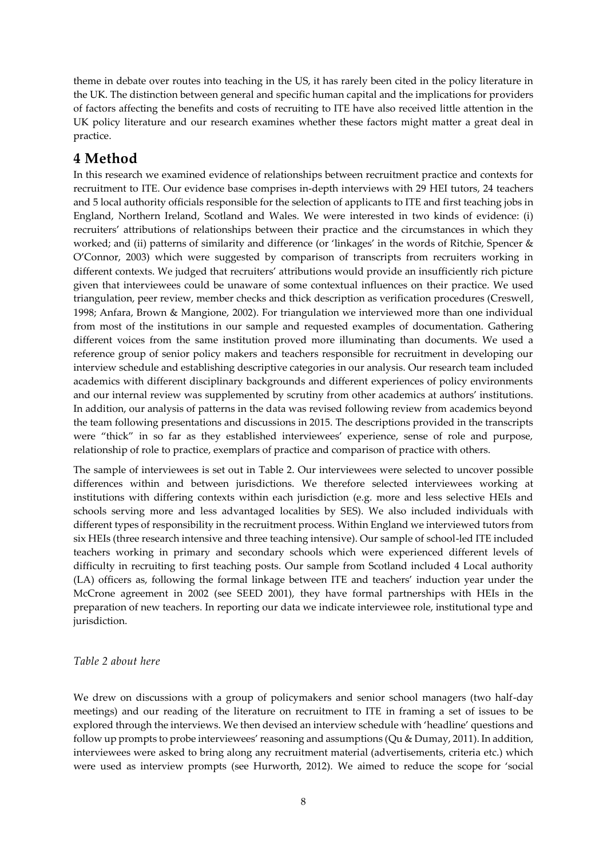theme in debate over routes into teaching in the US, it has rarely been cited in the policy literature in the UK. The distinction between general and specific human capital and the implications for providers of factors affecting the benefits and costs of recruiting to ITE have also received little attention in the UK policy literature and our research examines whether these factors might matter a great deal in practice.

## **4 Method**

In this research we examined evidence of relationships between recruitment practice and contexts for recruitment to ITE. Our evidence base comprises in-depth interviews with 29 HEI tutors, 24 teachers and 5 local authority officials responsible for the selection of applicants to ITE and first teaching jobs in England, Northern Ireland, Scotland and Wales. We were interested in two kinds of evidence: (i) recruiters' attributions of relationships between their practice and the circumstances in which they worked; and (ii) patterns of similarity and difference (or 'linkages' in the words of Ritchie, Spencer & O'Connor, 2003) which were suggested by comparison of transcripts from recruiters working in different contexts. We judged that recruiters' attributions would provide an insufficiently rich picture given that interviewees could be unaware of some contextual influences on their practice. We used triangulation, peer review, member checks and thick description as verification procedures (Creswell, 1998; Anfara, Brown & Mangione, 2002). For triangulation we interviewed more than one individual from most of the institutions in our sample and requested examples of documentation. Gathering different voices from the same institution proved more illuminating than documents. We used a reference group of senior policy makers and teachers responsible for recruitment in developing our interview schedule and establishing descriptive categories in our analysis. Our research team included academics with different disciplinary backgrounds and different experiences of policy environments and our internal review was supplemented by scrutiny from other academics at authors' institutions. In addition, our analysis of patterns in the data was revised following review from academics beyond the team following presentations and discussions in 2015. The descriptions provided in the transcripts were "thick" in so far as they established interviewees' experience, sense of role and purpose, relationship of role to practice, exemplars of practice and comparison of practice with others.

The sample of interviewees is set out in Table 2. Our interviewees were selected to uncover possible differences within and between jurisdictions. We therefore selected interviewees working at institutions with differing contexts within each jurisdiction (e.g. more and less selective HEIs and schools serving more and less advantaged localities by SES). We also included individuals with different types of responsibility in the recruitment process. Within England we interviewed tutors from six HEIs (three research intensive and three teaching intensive). Our sample of school-led ITE included teachers working in primary and secondary schools which were experienced different levels of difficulty in recruiting to first teaching posts. Our sample from Scotland included 4 Local authority (LA) officers as, following the formal linkage between ITE and teachers' induction year under the McCrone agreement in 2002 (see SEED 2001), they have formal partnerships with HEIs in the preparation of new teachers. In reporting our data we indicate interviewee role, institutional type and jurisdiction.

## *Table 2 about here*

We drew on discussions with a group of policymakers and senior school managers (two half-day meetings) and our reading of the literature on recruitment to ITE in framing a set of issues to be explored through the interviews. We then devised an interview schedule with 'headline' questions and follow up prompts to probe interviewees' reasoning and assumptions (Qu & Dumay, 2011). In addition, interviewees were asked to bring along any recruitment material (advertisements, criteria etc.) which were used as interview prompts (see Hurworth, 2012). We aimed to reduce the scope for 'social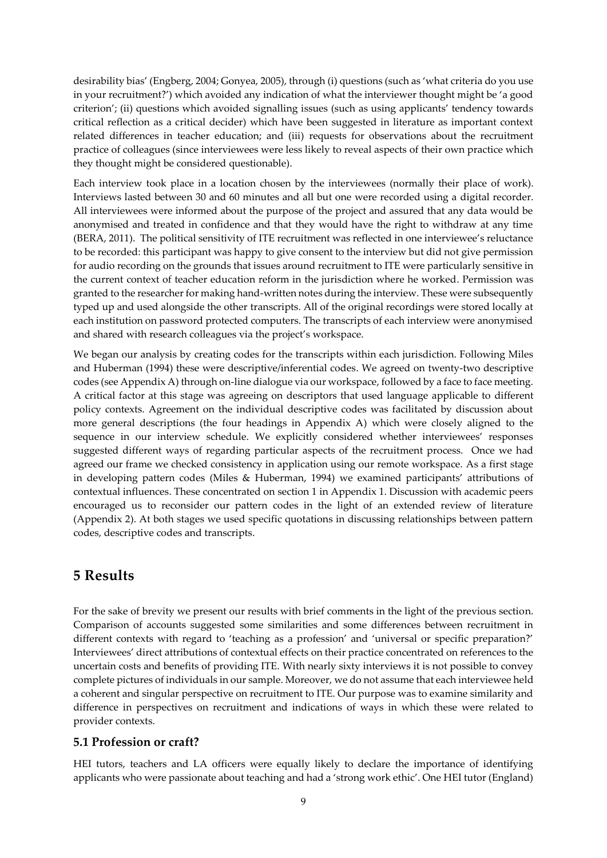desirability bias' (Engberg, 2004; Gonyea, 2005), through (i) questions (such as 'what criteria do you use in your recruitment?') which avoided any indication of what the interviewer thought might be 'a good criterion'; (ii) questions which avoided signalling issues (such as using applicants' tendency towards critical reflection as a critical decider) which have been suggested in literature as important context related differences in teacher education; and (iii) requests for observations about the recruitment practice of colleagues (since interviewees were less likely to reveal aspects of their own practice which they thought might be considered questionable).

Each interview took place in a location chosen by the interviewees (normally their place of work). Interviews lasted between 30 and 60 minutes and all but one were recorded using a digital recorder. All interviewees were informed about the purpose of the project and assured that any data would be anonymised and treated in confidence and that they would have the right to withdraw at any time (BERA, 2011). The political sensitivity of ITE recruitment was reflected in one interviewee's reluctance to be recorded: this participant was happy to give consent to the interview but did not give permission for audio recording on the grounds that issues around recruitment to ITE were particularly sensitive in the current context of teacher education reform in the jurisdiction where he worked. Permission was granted to the researcher for making hand-written notes during the interview. These were subsequently typed up and used alongside the other transcripts. All of the original recordings were stored locally at each institution on password protected computers. The transcripts of each interview were anonymised and shared with research colleagues via the project's workspace.

We began our analysis by creating codes for the transcripts within each jurisdiction. Following Miles and Huberman (1994) these were descriptive/inferential codes. We agreed on twenty-two descriptive codes (see Appendix A) through on-line dialogue via our workspace, followed by a face to face meeting. A critical factor at this stage was agreeing on descriptors that used language applicable to different policy contexts. Agreement on the individual descriptive codes was facilitated by discussion about more general descriptions (the four headings in Appendix A) which were closely aligned to the sequence in our interview schedule. We explicitly considered whether interviewees' responses suggested different ways of regarding particular aspects of the recruitment process. Once we had agreed our frame we checked consistency in application using our remote workspace. As a first stage in developing pattern codes (Miles & Huberman, 1994) we examined participants' attributions of contextual influences. These concentrated on section 1 in Appendix 1. Discussion with academic peers encouraged us to reconsider our pattern codes in the light of an extended review of literature (Appendix 2). At both stages we used specific quotations in discussing relationships between pattern codes, descriptive codes and transcripts.

## **5 Results**

For the sake of brevity we present our results with brief comments in the light of the previous section. Comparison of accounts suggested some similarities and some differences between recruitment in different contexts with regard to 'teaching as a profession' and 'universal or specific preparation?' Interviewees' direct attributions of contextual effects on their practice concentrated on references to the uncertain costs and benefits of providing ITE. With nearly sixty interviews it is not possible to convey complete pictures of individuals in our sample. Moreover, we do not assume that each interviewee held a coherent and singular perspective on recruitment to ITE. Our purpose was to examine similarity and difference in perspectives on recruitment and indications of ways in which these were related to provider contexts.

## **5.1 Profession or craft?**

HEI tutors, teachers and LA officers were equally likely to declare the importance of identifying applicants who were passionate about teaching and had a 'strong work ethic'. One HEI tutor (England)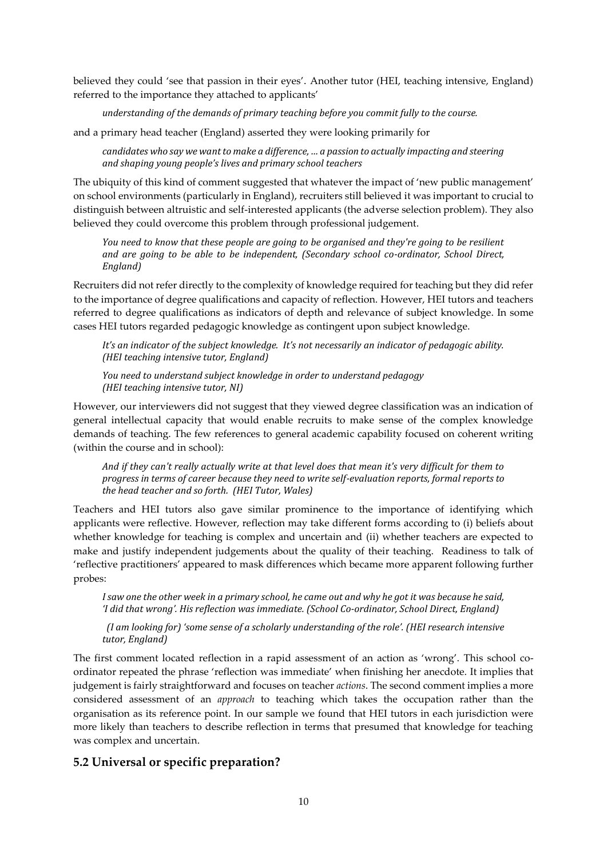believed they could 'see that passion in their eyes'. Another tutor (HEI, teaching intensive, England) referred to the importance they attached to applicants'

*understanding of the demands of primary teaching before you commit fully to the course.* 

and a primary head teacher (England) asserted they were looking primarily for

*candidates who say we want to make a difference, … a passion to actually impacting and steering and shaping young people's lives and primary school teachers* 

The ubiquity of this kind of comment suggested that whatever the impact of 'new public management' on school environments (particularly in England), recruiters still believed it was important to crucial to distinguish between altruistic and self-interested applicants (the adverse selection problem). They also believed they could overcome this problem through professional judgement.

*You need to know that these people are going to be organised and they're going to be resilient and are going to be able to be independent, (Secondary school co-ordinator, School Direct, England)* 

Recruiters did not refer directly to the complexity of knowledge required for teaching but they did refer to the importance of degree qualifications and capacity of reflection. However, HEI tutors and teachers referred to degree qualifications as indicators of depth and relevance of subject knowledge. In some cases HEI tutors regarded pedagogic knowledge as contingent upon subject knowledge.

*It's an indicator of the subject knowledge. It's not necessarily an indicator of pedagogic ability. (HEI teaching intensive tutor, England)* 

*You need to understand subject knowledge in order to understand pedagogy (HEI teaching intensive tutor, NI)* 

However, our interviewers did not suggest that they viewed degree classification was an indication of general intellectual capacity that would enable recruits to make sense of the complex knowledge demands of teaching. The few references to general academic capability focused on coherent writing (within the course and in school):

*And if they can't really actually write at that level does that mean it's very difficult for them to progress in terms of career because they need to write self-evaluation reports, formal reports to the head teacher and so forth. (HEI Tutor, Wales)* 

Teachers and HEI tutors also gave similar prominence to the importance of identifying which applicants were reflective. However, reflection may take different forms according to (i) beliefs about whether knowledge for teaching is complex and uncertain and (ii) whether teachers are expected to make and justify independent judgements about the quality of their teaching. Readiness to talk of 'reflective practitioners' appeared to mask differences which became more apparent following further probes:

*I saw one the other week in a primary school, he came out and why he got it was because he said, 'I did that wrong'. His reflection was immediate. (School Co-ordinator, School Direct, England)* 

 *(I am looking for) 'some sense of a scholarly understanding of the role'. (HEI research intensive tutor, England)* 

The first comment located reflection in a rapid assessment of an action as 'wrong'. This school coordinator repeated the phrase 'reflection was immediate' when finishing her anecdote. It implies that judgement is fairly straightforward and focuses on teacher *actions*. The second comment implies a more considered assessment of an *approach* to teaching which takes the occupation rather than the organisation as its reference point. In our sample we found that HEI tutors in each jurisdiction were more likely than teachers to describe reflection in terms that presumed that knowledge for teaching was complex and uncertain.

#### **5.2 Universal or specific preparation?**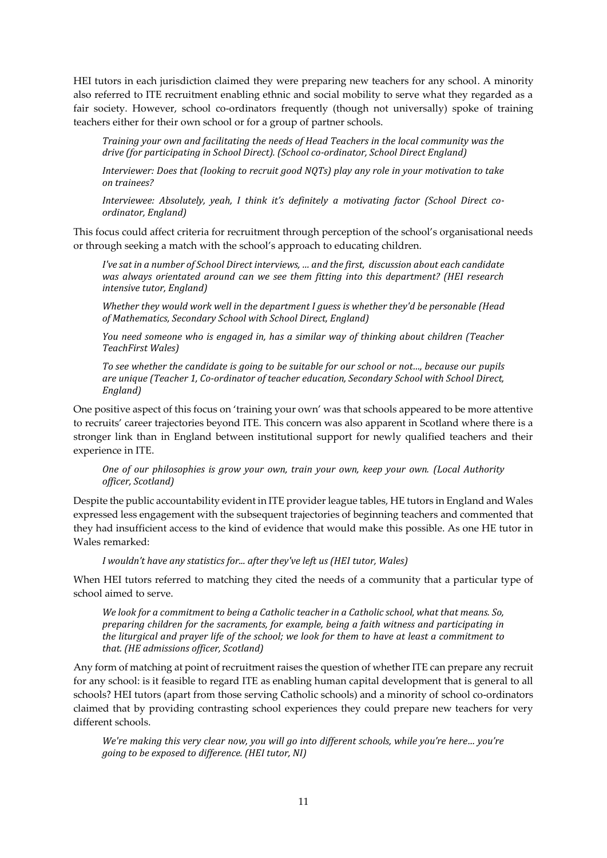HEI tutors in each jurisdiction claimed they were preparing new teachers for any school. A minority also referred to ITE recruitment enabling ethnic and social mobility to serve what they regarded as a fair society. However, school co-ordinators frequently (though not universally) spoke of training teachers either for their own school or for a group of partner schools.

*Training your own and facilitating the needs of Head Teachers in the local community was the drive (for participating in School Direct). (School co-ordinator, School Direct England)* 

*Interviewer: Does that (looking to recruit good NQTs) play any role in your motivation to take on trainees?* 

*Interviewee: Absolutely, yeah, I think it's definitely a motivating factor (School Direct coordinator, England)* 

This focus could affect criteria for recruitment through perception of the school's organisational needs or through seeking a match with the school's approach to educating children.

*I've sat in a number of School Direct interviews, … and the first, discussion about each candidate was always orientated around can we see them fitting into this department? (HEI research intensive tutor, England)* 

*Whether they would work well in the department I guess is whether they'd be personable (Head of Mathematics, Secondary School with School Direct, England)* 

*You need someone who is engaged in, has a similar way of thinking about children (Teacher TeachFirst Wales)* 

*To see whether the candidate is going to be suitable for our school or not…, because our pupils are unique (Teacher 1, Co-ordinator of teacher education, Secondary School with School Direct, England)* 

One positive aspect of this focus on 'training your own' was that schools appeared to be more attentive to recruits' career trajectories beyond ITE. This concern was also apparent in Scotland where there is a stronger link than in England between institutional support for newly qualified teachers and their experience in ITE.

*One of our philosophies is grow your own, train your own, keep your own. (Local Authority officer, Scotland)* 

Despite the public accountability evident in ITE provider league tables, HE tutors in England and Wales expressed less engagement with the subsequent trajectories of beginning teachers and commented that they had insufficient access to the kind of evidence that would make this possible. As one HE tutor in Wales remarked:

*I wouldn't have any statistics for... after they've left us (HEI tutor, Wales)* 

When HEI tutors referred to matching they cited the needs of a community that a particular type of school aimed to serve.

*We look for a commitment to being a Catholic teacher in a Catholic school, what that means. So, preparing children for the sacraments, for example, being a faith witness and participating in the liturgical and prayer life of the school; we look for them to have at least a commitment to that. (HE admissions officer, Scotland)* 

Any form of matching at point of recruitment raises the question of whether ITE can prepare any recruit for any school: is it feasible to regard ITE as enabling human capital development that is general to all schools? HEI tutors (apart from those serving Catholic schools) and a minority of school co-ordinators claimed that by providing contrasting school experiences they could prepare new teachers for very different schools.

*We're making this very clear now, you will go into different schools, while you're here… you're going to be exposed to difference. (HEI tutor, NI)*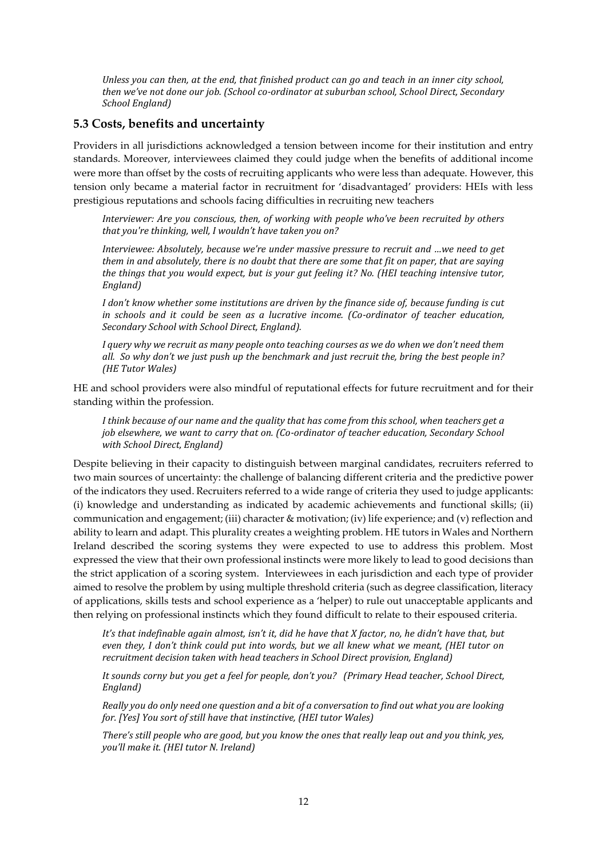*Unless you can then, at the end, that finished product can go and teach in an inner city school, then we've not done our job. (School co-ordinator at suburban school, School Direct, Secondary School England)* 

## **5.3 Costs, benefits and uncertainty**

Providers in all jurisdictions acknowledged a tension between income for their institution and entry standards. Moreover, interviewees claimed they could judge when the benefits of additional income were more than offset by the costs of recruiting applicants who were less than adequate. However, this tension only became a material factor in recruitment for 'disadvantaged' providers: HEIs with less prestigious reputations and schools facing difficulties in recruiting new teachers

*Interviewer: Are you conscious, then, of working with people who've been recruited by others that you're thinking, well, I wouldn't have taken you on?*

*Interviewee: Absolutely, because we're under massive pressure to recruit and …we need to get them in and absolutely, there is no doubt that there are some that fit on paper, that are saying the things that you would expect, but is your gut feeling it? No. (HEI teaching intensive tutor, England)* 

*I don't know whether some institutions are driven by the finance side of, because funding is cut in schools and it could be seen as a lucrative income. (Co-ordinator of teacher education, Secondary School with School Direct, England).*

*I query why we recruit as many people onto teaching courses as we do when we don't need them all. So why don't we just push up the benchmark and just recruit the, bring the best people in? (HE Tutor Wales)* 

HE and school providers were also mindful of reputational effects for future recruitment and for their standing within the profession.

*I think because of our name and the quality that has come from this school, when teachers get a job elsewhere, we want to carry that on. (Co-ordinator of teacher education, Secondary School with School Direct, England)* 

Despite believing in their capacity to distinguish between marginal candidates, recruiters referred to two main sources of uncertainty: the challenge of balancing different criteria and the predictive power of the indicators they used. Recruiters referred to a wide range of criteria they used to judge applicants: (i) knowledge and understanding as indicated by academic achievements and functional skills; (ii) communication and engagement; (iii) character & motivation; (iv) life experience; and (v) reflection and ability to learn and adapt. This plurality creates a weighting problem. HE tutors in Wales and Northern Ireland described the scoring systems they were expected to use to address this problem. Most expressed the view that their own professional instincts were more likely to lead to good decisions than the strict application of a scoring system. Interviewees in each jurisdiction and each type of provider aimed to resolve the problem by using multiple threshold criteria (such as degree classification, literacy of applications, skills tests and school experience as a 'helper) to rule out unacceptable applicants and then relying on professional instincts which they found difficult to relate to their espoused criteria.

*It's that indefinable again almost, isn't it, did he have that X factor, no, he didn't have that, but even they, I don't think could put into words, but we all knew what we meant, (HEI tutor on recruitment decision taken with head teachers in School Direct provision, England)* 

*It sounds corny but you get a feel for people, don't you? (Primary Head teacher, School Direct, England)* 

*Really you do only need one question and a bit of a conversation to find out what you are looking for. [Yes] You sort of still have that instinctive, (HEI tutor Wales)* 

*There's still people who are good, but you know the ones that really leap out and you think, yes, you'll make it. (HEI tutor N. Ireland)*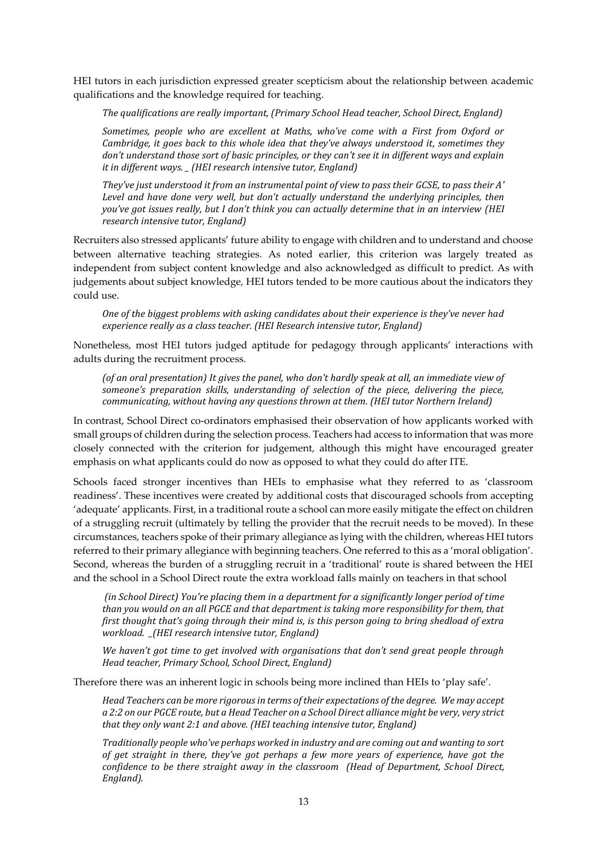HEI tutors in each jurisdiction expressed greater scepticism about the relationship between academic qualifications and the knowledge required for teaching.

*The qualifications are really important, (Primary School Head teacher, School Direct, England)* 

*Sometimes, people who are excellent at Maths, who've come with a First from Oxford or Cambridge, it goes back to this whole idea that they've always understood it, sometimes they don't understand those sort of basic principles, or they can't see it in different ways and explain it in different ways. \_ (HEI research intensive tutor, England)* 

*They've just understood it from an instrumental point of view to pass their GCSE, to pass their A' Level and have done very well, but don't actually understand the underlying principles, then you've got issues really, but I don't think you can actually determine that in an interview (HEI research intensive tutor, England)* 

Recruiters also stressed applicants' future ability to engage with children and to understand and choose between alternative teaching strategies. As noted earlier, this criterion was largely treated as independent from subject content knowledge and also acknowledged as difficult to predict. As with judgements about subject knowledge, HEI tutors tended to be more cautious about the indicators they could use.

*One of the biggest problems with asking candidates about their experience is they've never had experience really as a class teacher. (HEI Research intensive tutor, England)* 

Nonetheless, most HEI tutors judged aptitude for pedagogy through applicants' interactions with adults during the recruitment process.

*(of an oral presentation) It gives the panel, who don't hardly speak at all, an immediate view of someone's preparation skills, understanding of selection of the piece, delivering the piece, communicating, without having any questions thrown at them. (HEI tutor Northern Ireland)* 

In contrast, School Direct co-ordinators emphasised their observation of how applicants worked with small groups of children during the selection process. Teachers had access to information that was more closely connected with the criterion for judgement, although this might have encouraged greater emphasis on what applicants could do now as opposed to what they could do after ITE.

Schools faced stronger incentives than HEIs to emphasise what they referred to as 'classroom readiness'. These incentives were created by additional costs that discouraged schools from accepting 'adequate' applicants. First, in a traditional route a school can more easily mitigate the effect on children of a struggling recruit (ultimately by telling the provider that the recruit needs to be moved). In these circumstances, teachers spoke of their primary allegiance as lying with the children, whereas HEI tutors referred to their primary allegiance with beginning teachers. One referred to this as a 'moral obligation'. Second, whereas the burden of a struggling recruit in a 'traditional' route is shared between the HEI and the school in a School Direct route the extra workload falls mainly on teachers in that school

 *(in School Direct) You're placing them in a department for a significantly longer period of time than you would on an all PGCE and that department is taking more responsibility for them, that first thought that's going through their mind is, is this person going to bring shedload of extra workload. \_(HEI research intensive tutor, England)* 

*We haven't got time to get involved with organisations that don't send great people through Head teacher, Primary School, School Direct, England)* 

Therefore there was an inherent logic in schools being more inclined than HEIs to 'play safe'.

*Head Teachers can be more rigorous in terms of their expectations of the degree. We may accept a 2:2 on our PGCE route, but a Head Teacher on a School Direct alliance might be very, very strict that they only want 2:1 and above. (HEI teaching intensive tutor, England)* 

*Traditionally people who've perhaps worked in industry and are coming out and wanting to sort of get straight in there, they've got perhaps a few more years of experience, have got the confidence to be there straight away in the classroom (Head of Department, School Direct, England).*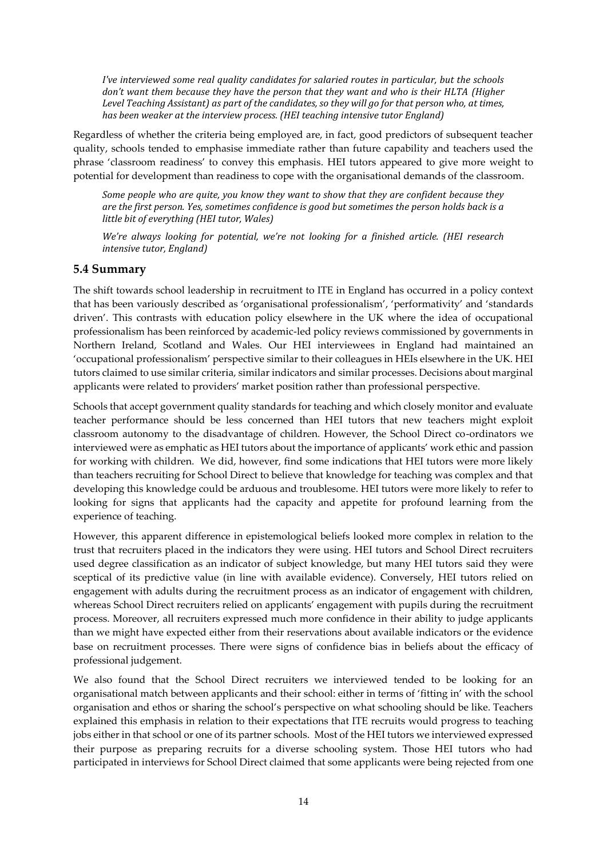*I've interviewed some real quality candidates for salaried routes in particular, but the schools don't want them because they have the person that they want and who is their HLTA (Higher Level Teaching Assistant) as part of the candidates, so they will go for that person who, at times, has been weaker at the interview process. (HEI teaching intensive tutor England)* 

Regardless of whether the criteria being employed are, in fact, good predictors of subsequent teacher quality, schools tended to emphasise immediate rather than future capability and teachers used the phrase 'classroom readiness' to convey this emphasis. HEI tutors appeared to give more weight to potential for development than readiness to cope with the organisational demands of the classroom.

*Some people who are quite, you know they want to show that they are confident because they are the first person. Yes, sometimes confidence is good but sometimes the person holds back is a little bit of everything (HEI tutor, Wales)* 

*We're always looking for potential, we're not looking for a finished article. (HEI research intensive tutor, England)* 

#### **5.4 Summary**

The shift towards school leadership in recruitment to ITE in England has occurred in a policy context that has been variously described as 'organisational professionalism', 'performativity' and 'standards driven'. This contrasts with education policy elsewhere in the UK where the idea of occupational professionalism has been reinforced by academic-led policy reviews commissioned by governments in Northern Ireland, Scotland and Wales. Our HEI interviewees in England had maintained an 'occupational professionalism' perspective similar to their colleagues in HEIs elsewhere in the UK. HEI tutors claimed to use similar criteria, similar indicators and similar processes. Decisions about marginal applicants were related to providers' market position rather than professional perspective.

Schools that accept government quality standards for teaching and which closely monitor and evaluate teacher performance should be less concerned than HEI tutors that new teachers might exploit classroom autonomy to the disadvantage of children. However, the School Direct co-ordinators we interviewed were as emphatic as HEI tutors about the importance of applicants' work ethic and passion for working with children. We did, however, find some indications that HEI tutors were more likely than teachers recruiting for School Direct to believe that knowledge for teaching was complex and that developing this knowledge could be arduous and troublesome. HEI tutors were more likely to refer to looking for signs that applicants had the capacity and appetite for profound learning from the experience of teaching.

However, this apparent difference in epistemological beliefs looked more complex in relation to the trust that recruiters placed in the indicators they were using. HEI tutors and School Direct recruiters used degree classification as an indicator of subject knowledge, but many HEI tutors said they were sceptical of its predictive value (in line with available evidence). Conversely, HEI tutors relied on engagement with adults during the recruitment process as an indicator of engagement with children, whereas School Direct recruiters relied on applicants' engagement with pupils during the recruitment process. Moreover, all recruiters expressed much more confidence in their ability to judge applicants than we might have expected either from their reservations about available indicators or the evidence base on recruitment processes. There were signs of confidence bias in beliefs about the efficacy of professional judgement.

We also found that the School Direct recruiters we interviewed tended to be looking for an organisational match between applicants and their school: either in terms of 'fitting in' with the school organisation and ethos or sharing the school's perspective on what schooling should be like. Teachers explained this emphasis in relation to their expectations that ITE recruits would progress to teaching jobs either in that school or one of its partner schools. Most of the HEI tutors we interviewed expressed their purpose as preparing recruits for a diverse schooling system. Those HEI tutors who had participated in interviews for School Direct claimed that some applicants were being rejected from one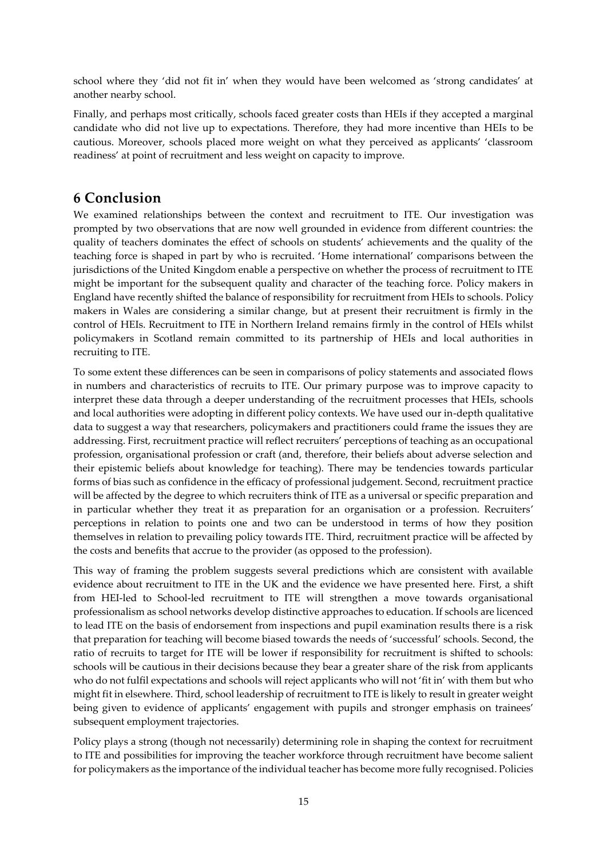school where they 'did not fit in' when they would have been welcomed as 'strong candidates' at another nearby school.

Finally, and perhaps most critically, schools faced greater costs than HEIs if they accepted a marginal candidate who did not live up to expectations. Therefore, they had more incentive than HEIs to be cautious. Moreover, schools placed more weight on what they perceived as applicants' 'classroom readiness' at point of recruitment and less weight on capacity to improve.

## **6 Conclusion**

We examined relationships between the context and recruitment to ITE. Our investigation was prompted by two observations that are now well grounded in evidence from different countries: the quality of teachers dominates the effect of schools on students' achievements and the quality of the teaching force is shaped in part by who is recruited. 'Home international' comparisons between the jurisdictions of the United Kingdom enable a perspective on whether the process of recruitment to ITE might be important for the subsequent quality and character of the teaching force. Policy makers in England have recently shifted the balance of responsibility for recruitment from HEIs to schools. Policy makers in Wales are considering a similar change, but at present their recruitment is firmly in the control of HEIs. Recruitment to ITE in Northern Ireland remains firmly in the control of HEIs whilst policymakers in Scotland remain committed to its partnership of HEIs and local authorities in recruiting to ITE.

To some extent these differences can be seen in comparisons of policy statements and associated flows in numbers and characteristics of recruits to ITE. Our primary purpose was to improve capacity to interpret these data through a deeper understanding of the recruitment processes that HEIs, schools and local authorities were adopting in different policy contexts. We have used our in-depth qualitative data to suggest a way that researchers, policymakers and practitioners could frame the issues they are addressing. First, recruitment practice will reflect recruiters' perceptions of teaching as an occupational profession, organisational profession or craft (and, therefore, their beliefs about adverse selection and their epistemic beliefs about knowledge for teaching). There may be tendencies towards particular forms of bias such as confidence in the efficacy of professional judgement. Second, recruitment practice will be affected by the degree to which recruiters think of ITE as a universal or specific preparation and in particular whether they treat it as preparation for an organisation or a profession. Recruiters' perceptions in relation to points one and two can be understood in terms of how they position themselves in relation to prevailing policy towards ITE. Third, recruitment practice will be affected by the costs and benefits that accrue to the provider (as opposed to the profession).

This way of framing the problem suggests several predictions which are consistent with available evidence about recruitment to ITE in the UK and the evidence we have presented here. First, a shift from HEI-led to School-led recruitment to ITE will strengthen a move towards organisational professionalism as school networks develop distinctive approaches to education. If schools are licenced to lead ITE on the basis of endorsement from inspections and pupil examination results there is a risk that preparation for teaching will become biased towards the needs of 'successful' schools. Second, the ratio of recruits to target for ITE will be lower if responsibility for recruitment is shifted to schools: schools will be cautious in their decisions because they bear a greater share of the risk from applicants who do not fulfil expectations and schools will reject applicants who will not 'fit in' with them but who might fit in elsewhere. Third, school leadership of recruitment to ITE is likely to result in greater weight being given to evidence of applicants' engagement with pupils and stronger emphasis on trainees' subsequent employment trajectories.

Policy plays a strong (though not necessarily) determining role in shaping the context for recruitment to ITE and possibilities for improving the teacher workforce through recruitment have become salient for policymakers as the importance of the individual teacher has become more fully recognised. Policies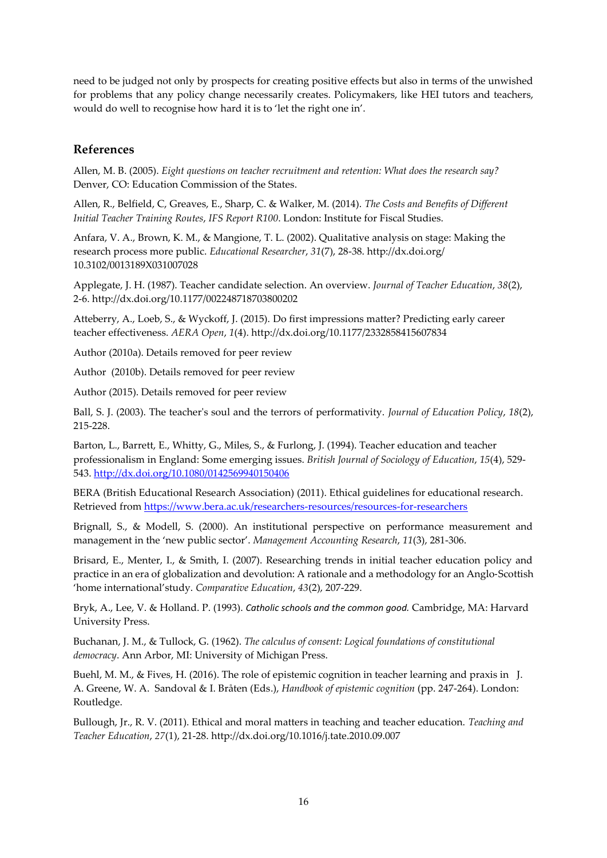need to be judged not only by prospects for creating positive effects but also in terms of the unwished for problems that any policy change necessarily creates. Policymakers, like HEI tutors and teachers, would do well to recognise how hard it is to 'let the right one in'.

## **References**

Allen, M. B. (2005). *Eight questions on teacher recruitment and retention: What does the research say?*  Denver, CO: Education Commission of the States.

Allen, R., Belfield, C, Greaves, E., Sharp, C. & Walker, M. (2014). *The Costs and Benefits of Different Initial Teacher Training Routes*, *IFS Report R100*. London: Institute for Fiscal Studies.

Anfara, V. A., Brown, K. M., & Mangione, T. L. (2002). Qualitative analysis on stage: Making the research process more public. *Educational Researcher*, *31*(7), 28-38. http://dx.doi.org/ 10.3102/0013189X031007028

Applegate, J. H. (1987). Teacher candidate selection. An overview. *Journal of Teacher Education*, *38*(2), 2-6. http://dx.doi.org/10.1177/002248718703800202

Atteberry, A., Loeb, S., & Wyckoff, J. (2015). Do first impressions matter? Predicting early career teacher effectiveness. *AERA Open*, *1*(4). http://dx.doi.org/10.1177/2332858415607834

Author (2010a). Details removed for peer review

Author (2010b). Details removed for peer review

Author (2015). Details removed for peer review

Ball, S. J. (2003). The teacher's soul and the terrors of performativity. *Journal of Education Policy*, *18*(2), 215-228.

Barton, L., Barrett, E., Whitty, G., Miles, S., & Furlong, J. (1994). Teacher education and teacher professionalism in England: Some emerging issues. *British Journal of Sociology of Education*, *15*(4), 529- 543. <http://dx.doi.org/10.1080/0142569940150406>

BERA (British Educational Research Association) (2011). Ethical guidelines for educational research. Retrieved from<https://www.bera.ac.uk/researchers-resources/resources-for-researchers>

Brignall, S., & Modell, S. (2000). An institutional perspective on performance measurement and management in the 'new public sector'. *Management Accounting Research*, *11*(3), 281-306.

Brisard, E., Menter, I., & Smith, I. (2007). Researching trends in initial teacher education policy and practice in an era of globalization and devolution: A rationale and a methodology for an Anglo‐Scottish 'home international'study. *Comparative Education*, *43*(2), 207-229.

Bryk, A., Lee, V. & Holland. P. (1993). *Catholic schools and the common good.* Cambridge, MA: Harvard University Press.

Buchanan, J. M., & Tullock, G. (1962). *The calculus of consent: Logical foundations of constitutional democracy*. Ann Arbor, MI: University of Michigan Press.

Buehl, M. M., & Fives, H. (2016). The role of epistemic cognition in teacher learning and praxis in J. A. Greene, W. A. Sandoval & I. Bråten (Eds.), *Handbook of epistemic cognition* (pp. 247-264). London: Routledge.

Bullough, Jr., R. V. (2011). Ethical and moral matters in teaching and teacher education. *Teaching and Teacher Education*, *27*(1), 21-28. http://dx.doi.org/10.1016/j.tate.2010.09.007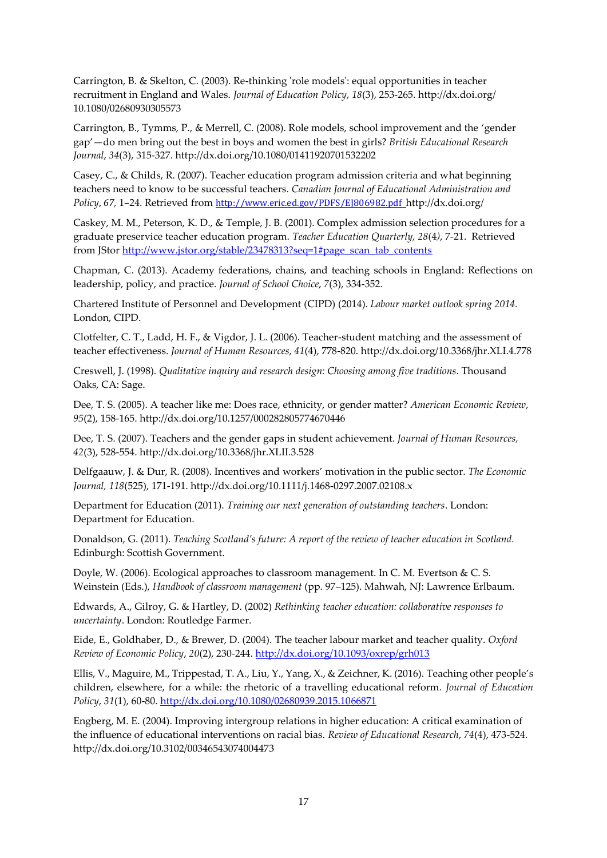Carrington, B. & Skelton, C. (2003). Re-thinking 'role models': equal opportunities in teacher recruitment in England and Wales. *Journal of Education Policy*, *18*(3), 253-265. http://dx.doi.org/ 10.1080/02680930305573

Carrington, B., Tymms, P., & Merrell, C. (2008). Role models, school improvement and the 'gender gap'—do men bring out the best in boys and women the best in girls? *British Educational Research Journal*, *34*(3), 315-327. http://dx.doi.org/10.1080/01411920701532202

Casey, C., & Childs, R. (2007). Teacher education program admission criteria and what beginning teachers need to know to be successful teachers. *Canadian Journal of Educational Administration and Policy*, *67,* 1–24. Retrieved from <http://www.eric.ed.gov/PDFS/EJ806982.pdf>http://dx.doi.org/

Caskey, M. M., Peterson, K. D., & Temple, J. B. (2001). Complex admission selection procedures for a graduate preservice teacher education program. *Teacher Education Quarterly, 28*(4*)*, 7-21. Retrieved from JStor [http://www.jstor.org/stable/23478313?seq=1#page\\_scan\\_tab\\_contents](http://www.jstor.org/stable/23478313?seq=1#page_scan_tab_contents)

Chapman, C. (2013). Academy federations, chains, and teaching schools in England: Reflections on leadership, policy, and practice. *Journal of School Choice*, *7*(3), 334-352.

Chartered Institute of Personnel and Development (CIPD) (2014). *Labour market outlook spring 2014.* London, CIPD.

Clotfelter, C. T., Ladd, H. F., & Vigdor, J. L. (2006). Teacher-student matching and the assessment of teacher effectiveness. *Journal of Human Resources*, *41*(4), 778-820. http://dx.doi.org/10.3368/jhr.XLI.4.778

Creswell, J. (1998). *Qualitative inquiry and research design: Choosing among five traditions*. Thousand Oaks, CA: Sage.

Dee, T. S. (2005). A teacher like me: Does race, ethnicity, or gender matter? *American Economic Review*, *95*(2), 158-165. http://dx.doi.org/10.1257/000282805774670446

Dee, T. S. (2007). Teachers and the gender gaps in student achievement. *Journal of Human Resources, 42*(3), 528-554. http://dx.doi.org/10.3368/jhr.XLII.3.528

Delfgaauw, J. & Dur, R. (2008). Incentives and workers' motivation in the public sector. *The Economic Journal, 118*(525), 171-191. http://dx.doi.org/10.1111/j.1468-0297.2007.02108.x

Department for Education (2011). *Training our next generation of outstanding teachers*. London: Department for Education.

Donaldson, G. (2011). *Teaching Scotland's future: A report of the review of teacher education in Scotland.* Edinburgh: Scottish Government.

Doyle, W. (2006). Ecological approaches to classroom management. In C. M. Evertson & C. S. Weinstein (Eds.), *Handbook of classroom management* (pp. 97–125). Mahwah, NJ: Lawrence Erlbaum.

Edwards, A., Gilroy, G. & Hartley, D. (2002) *Rethinking teacher education: collaborative responses to uncertainty*. London: Routledge Farmer.

Eide, E., Goldhaber, D., & Brewer, D. (2004). The teacher labour market and teacher quality. *Oxford Review of Economic Policy*, *20*(2), 230-244[. http://dx.doi.org/10.1093/oxrep/grh013](http://dx.doi.org/10.1093/oxrep/grh013)

Ellis, V., Maguire, M., Trippestad, T. A., Liu, Y., Yang, X., & Zeichner, K. (2016). Teaching other people's children, elsewhere, for a while: the rhetoric of a travelling educational reform. *Journal of Education Policy*, *31*(1), 60-80. <http://dx.doi.org/10.1080/02680939.2015.1066871>

Engberg, M. E. (2004). Improving intergroup relations in higher education: A critical examination of the influence of educational interventions on racial bias. *Review of Educational Research*, *74*(4), 473-524. http://dx.doi.org/10.3102/00346543074004473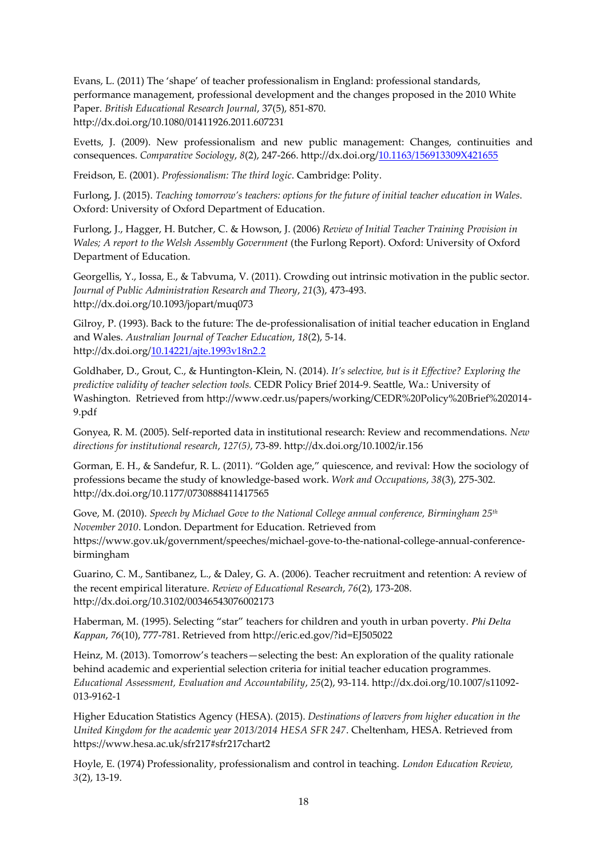Evans, L. (2011) The 'shape' of teacher professionalism in England: professional standards, performance management, professional development and the changes proposed in the 2010 White Paper. *British Educational Research Journal*, 37(5), 851-870. http://dx.doi.org/10.1080/01411926.2011.607231

Evetts, J. (2009). New professionalism and new public management: Changes, continuities and consequences. *Comparative Sociology*, *8*(2), 247-266. http://dx.doi.org[/10.1163/156913309X421655](http://dx.doi.org/10.1163/156913309X421655)

Freidson, E. (2001). *Professionalism: The third logic*. Cambridge: Polity.

Furlong, J. (2015). *Teaching tomorrow's teachers: options for the future of initial teacher education in Wales*. Oxford: University of Oxford Department of Education.

Furlong, J., Hagger, H. Butcher, C. & Howson, J. (2006) *Review of Initial Teacher Training Provision in Wales; A report to the Welsh Assembly Government* (the Furlong Report). Oxford: University of Oxford Department of Education.

Georgellis, Y., Iossa, E., & Tabvuma, V. (2011). Crowding out intrinsic motivation in the public sector. *Journal of Public Administration Research and Theory*, *21*(3), 473-493. http://dx.doi.org/10.1093/jopart/muq073

Gilroy, P. (1993). Back to the future: The de-professionalisation of initial teacher education in England and Wales. *Australian Journal of Teacher Education*, *18*(2), 5-14. http://dx.doi.org[/10.14221/ajte.1993v18n2.2](http://dx.doi.org/10.14221/ajte.1993v18n2.2)

Goldhaber, D., Grout, C., & Huntington-Klein, N. (2014). *It's selective, but is it Effective? Exploring the predictive validity of teacher selection tools.* CEDR Policy Brief 2014-9. Seattle, Wa.: University of Washington. Retrieved from http://www.cedr.us/papers/working/CEDR%20Policy%20Brief%202014- 9.pdf

Gonyea, R. M. (2005). Self-reported data in institutional research: Review and recommendations. *New directions for institutional research*, *127(5)*, 73-89. http://dx.doi.org/10.1002/ir.156

Gorman, E. H., & Sandefur, R. L. (2011). "Golden age," quiescence, and revival: How the sociology of professions became the study of knowledge-based work. *Work and Occupations*, *38*(3), 275-302. http://dx.doi.org/10.1177/0730888411417565

Gove, M. (2010). *Speech by Michael Gove to the National College annual conference, Birmingham 25th November 2010*. London. Department for Education. Retrieved from https://www.gov.uk/government/speeches/michael-gove-to-the-national-college-annual-conferencebirmingham

Guarino, C. M., Santibanez, L., & Daley, G. A. (2006). Teacher recruitment and retention: A review of the recent empirical literature. *Review of Educational Research*, *76*(2), 173-208. http://dx.doi.org/10.3102/00346543076002173

Haberman, M. (1995). Selecting "star" teachers for children and youth in urban poverty. *Phi Delta Kappan*, *76*(10), 777-781. Retrieved from http://eric.ed.gov/?id=EJ505022

Heinz, M. (2013). Tomorrow's teachers—selecting the best: An exploration of the quality rationale behind academic and experiential selection criteria for initial teacher education programmes. *Educational Assessment, Evaluation and Accountability*, *25*(2), 93-114. http://dx.doi.org/10.1007/s11092- 013-9162-1

Higher Education Statistics Agency (HESA). (2015). *Destinations of leavers from higher education in the United Kingdom for the academic year 2013/2014 HESA SFR 247*. Cheltenham, HESA. Retrieved from https://www.hesa.ac.uk/sfr217#sfr217chart2

Hoyle, E. (1974) Professionality, professionalism and control in teaching. *London Education Review, 3*(2), 13-19.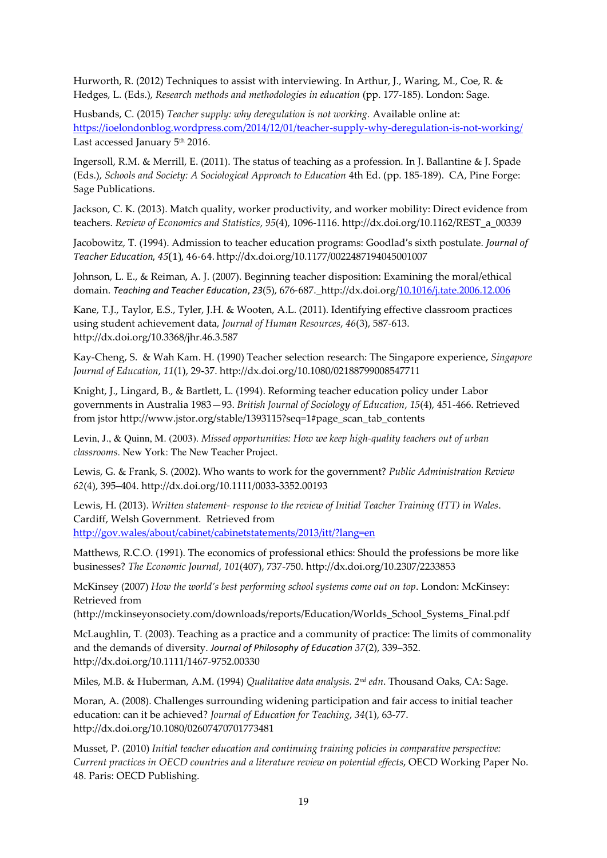Hurworth, R. (2012) Techniques to assist with interviewing. In Arthur, J., Waring, M., Coe, R. & Hedges, L. (Eds.), *Research methods and methodologies in education* (pp. 177-185). London: Sage.

Husbands, C. (2015) *Teacher supply: why deregulation is not working.* Available online at: <https://ioelondonblog.wordpress.com/2014/12/01/teacher-supply-why-deregulation-is-not-working/> Last accessed January 5<sup>th</sup> 2016.

Ingersoll, R.M. & Merrill, E. (2011). The status of teaching as a profession. In J. Ballantine & J. Spade (Eds.), *Schools and Society: A Sociological Approach to Education* 4th Ed. (pp. 185-189). CA, Pine Forge: Sage Publications.

Jackson, C. K. (2013). Match quality, worker productivity, and worker mobility: Direct evidence from teachers. *Review of Economics and Statistics*, *95*(4), 1096-1116. http://dx.doi.org/10.1162/REST\_a\_00339

Jacobowitz, T. (1994). Admission to teacher education programs: Goodlad's sixth postulate. *Journal of Teacher Education*, *45*(1), 46-64. http://dx.doi.org/10.1177/0022487194045001007

Johnson, L. E., & Reiman, A. J. (2007). Beginning teacher disposition: Examining the moral/ethical domain. *Teaching and Teacher Education*, *23*(5), 676-687. http://dx.doi.org[/10.1016/j.tate.2006.12.006](http://dx.doi.org/10.1016/j.tate.2006.12.006)

Kane, T.J., Taylor, E.S., Tyler, J.H. & Wooten, A.L. (2011). Identifying effective classroom practices using student achievement data, *Journal of Human Resources*, *46*(3), 587-613. http://dx.doi.org/10.3368/jhr.46.3.587

Kay-Cheng, S. & Wah Kam. H. (1990) Teacher selection research: The Singapore experience, *Singapore Journal of Education*, *11*(1), 29-37. http://dx.doi.org/10.1080/02188799008547711

Knight, J., Lingard, B., & Bartlett, L. (1994). Reforming teacher education policy under Labor governments in Australia 1983—93. *British Journal of Sociology of Education*, *15*(4), 451-466. Retrieved from jstor http://www.jstor.org/stable/1393115?seq=1#page\_scan\_tab\_contents

Levin, J., & Quinn, M. (2003). *Missed opportunities: How we keep high-quality teachers out of urban classrooms*. New York: The New Teacher Project.

Lewis, G. & Frank, S. (2002). Who wants to work for the government? *Public Administration Review 62*(4), 395–404. http://dx.doi.org/10.1111/0033-3352.00193

Lewis, H. (2013). *Written statement- response to the review of Initial Teacher Training (ITT) in Wales*. Cardiff, Welsh Government. Retrieved from <http://gov.wales/about/cabinet/cabinetstatements/2013/itt/?lang=en>

Matthews, R.C.O. (1991). The economics of professional ethics: Should the professions be more like businesses? *The Economic Journal*, *101*(407), 737-750. http://dx.doi.org/10.2307/2233853

McKinsey (2007) *How the world's best performing school systems come out on top*. London: McKinsey: Retrieved from

(http://mckinseyonsociety.com/downloads/reports/Education/Worlds\_School\_Systems\_Final.pdf

McLaughlin, T. (2003). Teaching as a practice and a community of practice: The limits of commonality and the demands of diversity. *Journal of Philosophy of Education 37*(2), 339–352. http://dx.doi.org/10.1111/1467-9752.00330

Miles, M.B. & Huberman, A.M. (1994) *Qualitative data analysis. 2nd edn*. Thousand Oaks, CA: Sage.

Moran, A. (2008). Challenges surrounding widening participation and fair access to initial teacher education: can it be achieved? *Journal of Education for Teaching*, *34*(1), 63-77. http://dx.doi.org/10.1080/02607470701773481

Musset, P. (2010) *Initial teacher education and continuing training policies in comparative perspective: Current practices in OECD countries and a literature review on potential effects*, OECD Working Paper No. 48. Paris: OECD Publishing.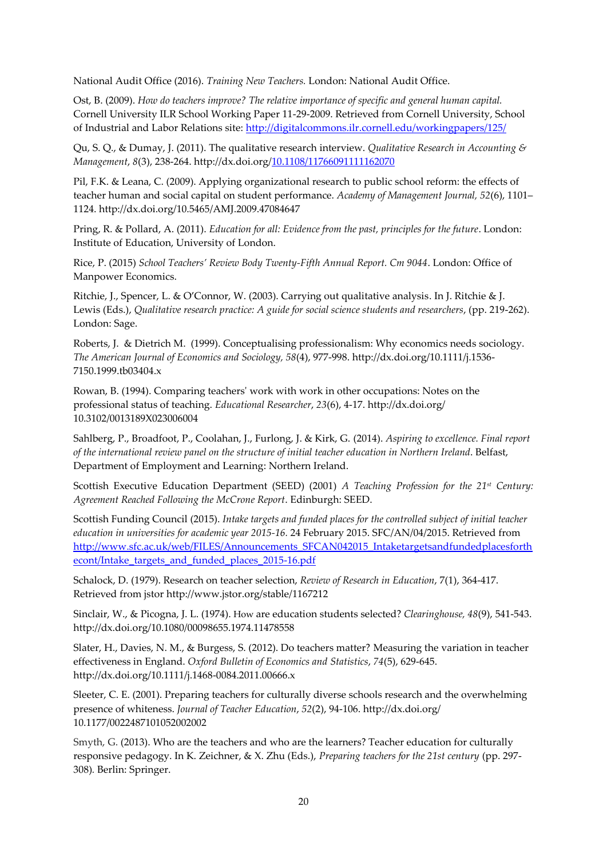National Audit Office (2016). *Training New Teachers.* London: National Audit Office.

Ost, B. (2009). *How do teachers improve? The relative importance of specific and general human capital.* Cornell University ILR School Working Paper 11-29-2009. Retrieved from Cornell University, School of Industrial and Labor Relations site:<http://digitalcommons.ilr.cornell.edu/workingpapers/125/>

Qu, S. Q., & Dumay, J. (2011). The qualitative research interview. *Qualitative Research in Accounting & Management*, *8*(3), 238-264. http://dx.doi.org[/10.1108/11766091111162070](http://dx.doi.org/10.1108/11766091111162070)

Pil, F.K. & Leana, C. (2009). Applying organizational research to public school reform: the effects of teacher human and social capital on student performance. *Academy of Management Journal, 52*(6), 1101– 1124. http://dx.doi.org/10.5465/AMJ.2009.47084647

Pring, R. & Pollard, A. (2011). *Education for all: Evidence from the past, principles for the future*. London: Institute of Education, University of London.

Rice, P. (2015) *School Teachers' Review Body Twenty-Fifth Annual Report. Cm 9044*. London: Office of Manpower Economics.

Ritchie, J., Spencer, L. & O'Connor, W. (2003). Carrying out qualitative analysis. In J. Ritchie & J. Lewis (Eds.), *Qualitative research practice: A guide for social science students and researchers*, (pp. 219-262). London: Sage.

Roberts, J. & Dietrich M. (1999). Conceptualising professionalism: Why economics needs sociology. *The American Journal of Economics and Sociology, 58*(4), 977-998. http://dx.doi.org/10.1111/j.1536- 7150.1999.tb03404.x

Rowan, B. (1994). Comparing teachers' work with work in other occupations: Notes on the professional status of teaching. *Educational Researcher*, *23*(6), 4-17. http://dx.doi.org/ 10.3102/0013189X023006004

Sahlberg, P., Broadfoot, P., Coolahan, J., Furlong, J. & Kirk, G. (2014). *Aspiring to excellence. Final report of the international review panel on the structure of initial teacher education in Northern Ireland*. Belfast, Department of Employment and Learning: Northern Ireland.

Scottish Executive Education Department (SEED) (2001) *A Teaching Profession for the 21st Century: Agreement Reached Following the McCrone Report*. Edinburgh: SEED.

Scottish Funding Council (2015). *Intake targets and funded places for the controlled subject of initial teacher education in universities for academic year 2015-16.* 24 February 2015. SFC/AN/04/2015. Retrieved from [http://www.sfc.ac.uk/web/FILES/Announcements\\_SFCAN042015\\_Intaketargetsandfundedplacesforth](https://mail.bham.ac.uk/owa/redir.aspx?SURL=eg0AS3RCDRWP5VWNBr2Te8MLsvPEFbeQfSczEUWtlO4ial1sY7zSCGgAdAB0AHAAOgAvAC8AdwB3AHcALgBzAGYAYwAuAGEAYwAuAHUAawAvAHcAZQBiAC8ARgBJAEwARQBTAC8AQQBuAG4AbwB1AG4AYwBlAG0AZQBuAHQAcwBfAFMARgBDAEEATgAwADQAMgAwADEANQBfAEkAbgB0AGEAawBlAHQAYQByAGcAZQB0AHMAYQBuAGQAZgB1AG4AZABlAGQAcABsAGEAYwBlAHMAZgBvAHIAdABoAGUAYwBvAG4AdAAvAEkAbgB0AGEAawBlAF8AdABhAHIAZwBlAHQAcwBfAGEAbgBkAF8AZgB1AG4AZABlAGQAXwBwAGwAYQBjAGUAcwBfADIAMAAxADUALQAxADYALgBwAGQAZgA.&URL=http%3a%2f%2fwww.sfc.ac.uk%2fweb%2fFILES%2fAnnouncements_SFCAN042015_Intaketargetsandfundedplacesforthecont%2fIntake_targets_and_funded_places_2015-16.pdf) [econt/Intake\\_targets\\_and\\_funded\\_places\\_2015-16.pdf](https://mail.bham.ac.uk/owa/redir.aspx?SURL=eg0AS3RCDRWP5VWNBr2Te8MLsvPEFbeQfSczEUWtlO4ial1sY7zSCGgAdAB0AHAAOgAvAC8AdwB3AHcALgBzAGYAYwAuAGEAYwAuAHUAawAvAHcAZQBiAC8ARgBJAEwARQBTAC8AQQBuAG4AbwB1AG4AYwBlAG0AZQBuAHQAcwBfAFMARgBDAEEATgAwADQAMgAwADEANQBfAEkAbgB0AGEAawBlAHQAYQByAGcAZQB0AHMAYQBuAGQAZgB1AG4AZABlAGQAcABsAGEAYwBlAHMAZgBvAHIAdABoAGUAYwBvAG4AdAAvAEkAbgB0AGEAawBlAF8AdABhAHIAZwBlAHQAcwBfAGEAbgBkAF8AZgB1AG4AZABlAGQAXwBwAGwAYQBjAGUAcwBfADIAMAAxADUALQAxADYALgBwAGQAZgA.&URL=http%3a%2f%2fwww.sfc.ac.uk%2fweb%2fFILES%2fAnnouncements_SFCAN042015_Intaketargetsandfundedplacesforthecont%2fIntake_targets_and_funded_places_2015-16.pdf)

Schalock, D. (1979). Research on teacher selection, *Review of Research in Education*, 7(1), 364-417. Retrieved from jstor http://www.jstor.org/stable/1167212

Sinclair, W., & Picogna, J. L. (1974). How are education students selected? *Clearinghouse, 48*(9), 541-543. http://dx.doi.org/10.1080/00098655.1974.11478558

Slater, H., Davies, N. M., & Burgess, S. (2012). Do teachers matter? Measuring the variation in teacher effectiveness in England. *Oxford Bulletin of Economics and Statistics*, *74*(5), 629-645. http://dx.doi.org/10.1111/j.1468-0084.2011.00666.x

Sleeter, C. E. (2001). Preparing teachers for culturally diverse schools research and the overwhelming presence of whiteness. *Journal of Teacher Education*, *52*(2), 94-106. http://dx.doi.org/ 10.1177/0022487101052002002

Smyth, G. (2013). Who are the teachers and who are the learners? Teacher education for culturally responsive pedagogy. In K. Zeichner, & X. Zhu (Eds.), *Preparing teachers for the 21st century* (pp. 297- 308)*.* Berlin: Springer.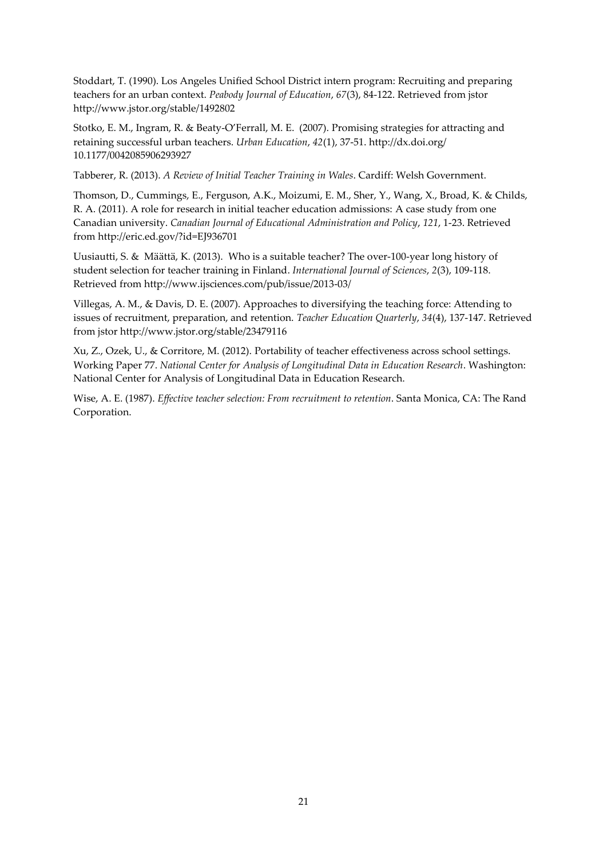Stoddart, T. (1990). Los Angeles Unified School District intern program: Recruiting and preparing teachers for an urban context. *Peabody Journal of Education*, *67*(3), 84-122. Retrieved from jstor http://www.jstor.org/stable/1492802

Stotko, E. M., Ingram, R. & Beaty-O'Ferrall, M. E. (2007). Promising strategies for attracting and retaining successful urban teachers. *Urban Education*, *42*(1), 37-51. http://dx.doi.org/ 10.1177/0042085906293927

Tabberer, R. (2013). *A Review of Initial Teacher Training in Wales*. Cardiff: Welsh Government.

Thomson, D., Cummings, E., Ferguson, A.K., Moizumi, E. M., Sher, Y., Wang, X., Broad, K. & Childs, R. A. (2011). A role for research in initial teacher education admissions: A case study from one Canadian university. *Canadian Journal of Educational Administration and Policy*, *121*, 1-23. Retrieved from http://eric.ed.gov/?id=EJ936701

Uusiautti, S. & Määttä, K. (2013). Who is a suitable teacher? The over-100-year long history of student selection for teacher training in Finland. *International Journal of Sciences*, *2*(3), 109-118. Retrieved from http://www.ijsciences.com/pub/issue/2013-03/

Villegas, A. M., & Davis, D. E. (2007). Approaches to diversifying the teaching force: Attending to issues of recruitment, preparation, and retention. *Teacher Education Quarterly*, *34*(4), 137-147. Retrieved from jstor http://www.jstor.org/stable/23479116

Xu, Z., Ozek, U., & Corritore, M. (2012). Portability of teacher effectiveness across school settings. Working Paper 77. *National Center for Analysis of Longitudinal Data in Education Research*. Washington: National Center for Analysis of Longitudinal Data in Education Research.

Wise, A. E. (1987). *Effective teacher selection: From recruitment to retention*. Santa Monica, CA: The Rand Corporation.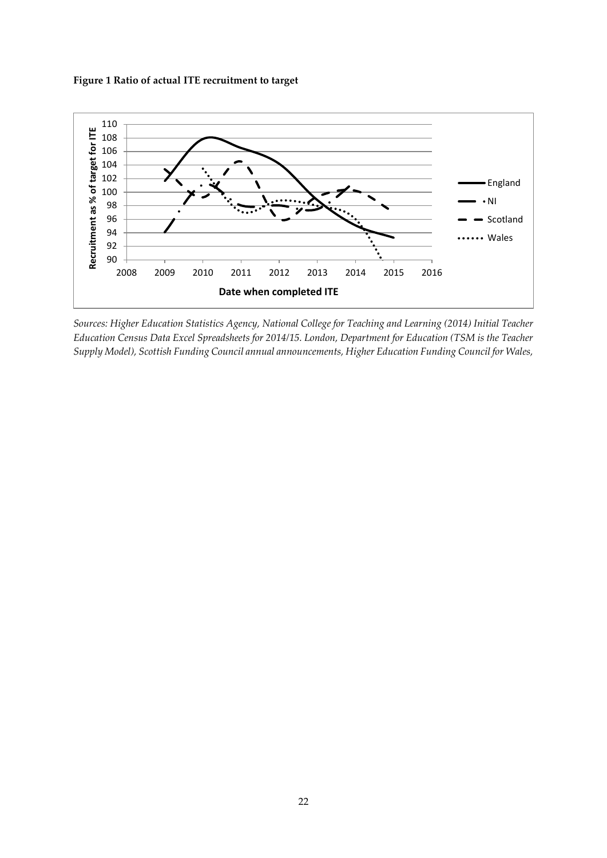



*Sources: Higher Education Statistics Agency, National College for Teaching and Learning (2014) Initial Teacher Education Census Data Excel Spreadsheets for 2014/15. London, Department for Education (TSM is the Teacher Supply Model), Scottish Funding Council annual announcements, Higher Education Funding Council for Wales,*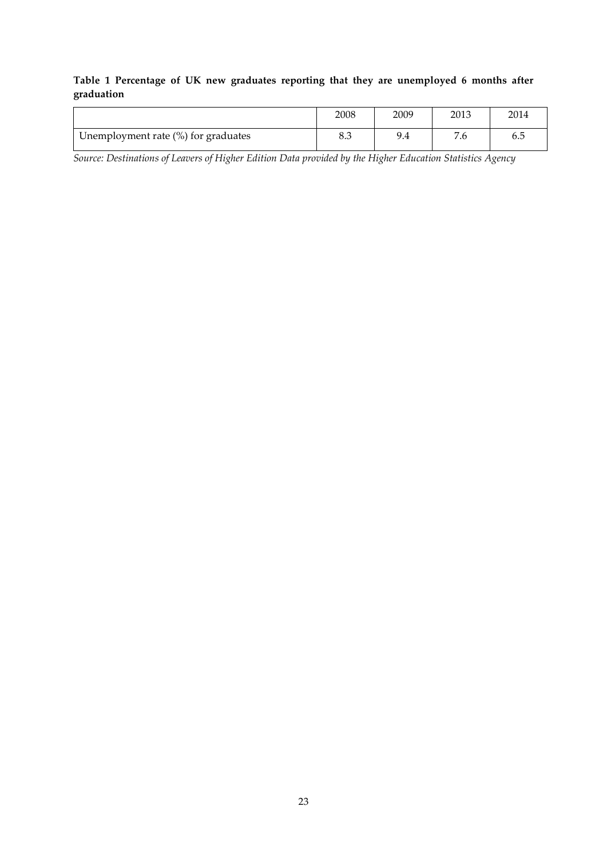## **Table 1 Percentage of UK new graduates reporting that they are unemployed 6 months after graduation**

|                                        | 2008       | 2009 | 2013                 | 2014 |
|----------------------------------------|------------|------|----------------------|------|
| Unemployment rate $(\%)$ for graduates | റ -<br>o.o | 9.4  | $\overline{ }$<br>.u | ხ.5  |

*Source: Destinations of Leavers of Higher Edition Data provided by the Higher Education Statistics Agency*